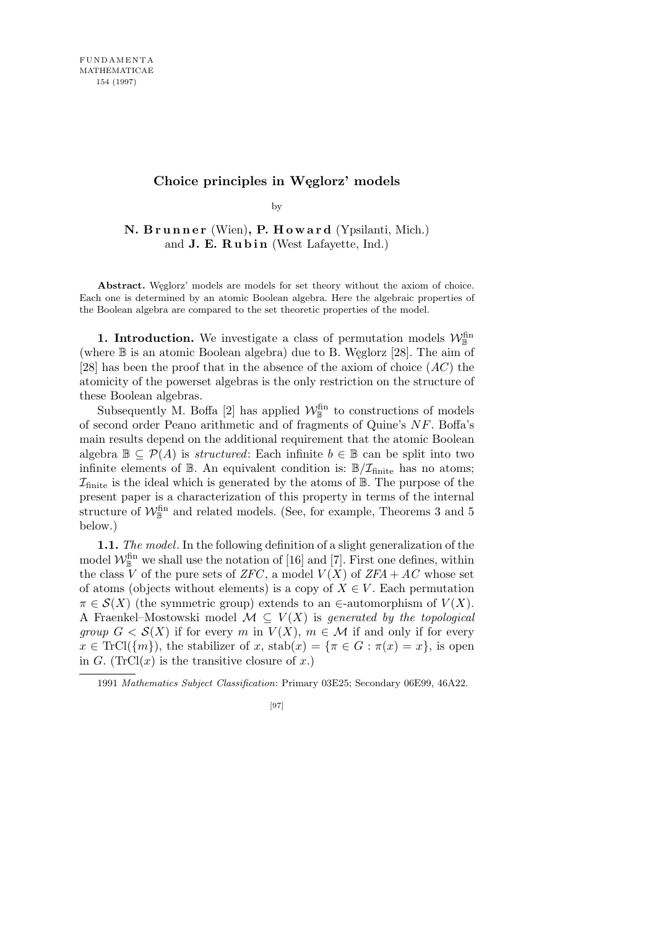## **Choice principles in Węglorz' models**

by

**N. B r u n n e r** (Wien)**, P. H o w a r d** (Ypsilanti, Mich.) and **J. E. Rubin** (West Lafayette, Ind.)

Abstract. Weglorz' models are models for set theory without the axiom of choice. Each one is determined by an atomic Boolean algebra. Here the algebraic properties of the Boolean algebra are compared to the set theoretic properties of the model.

**1. Introduction.** We investigate a class of permutation models  $\mathcal{W}_{\mathbb{B}}^{\text{fin}}$ (where B is an atomic Boolean algebra) due to B. Węglorz [28]. The aim of [28] has been the proof that in the absence of the axiom of choice (*AC*) the atomicity of the powerset algebras is the only restriction on the structure of these Boolean algebras.

Subsequently M. Boffa [2] has applied  $\mathcal{W}_{\mathbb{B}}^{\text{fin}}$  to constructions of models of second order Peano arithmetic and of fragments of Quine's *NF*. Boffa's main results depend on the additional requirement that the atomic Boolean algebra  $\mathbb{B} \subseteq \mathcal{P}(A)$  is *structured*: Each infinite  $b \in \mathbb{B}$  can be split into two infinite elements of  $\mathbb{B}$ . An equivalent condition is:  $\mathbb{B}/\mathcal{I}_{\text{finite}}$  has no atoms;  $\mathcal{I}_{\text{finite}}$  is the ideal which is generated by the atoms of  $\mathbb{B}$ . The purpose of the present paper is a characterization of this property in terms of the internal structure of  $\mathcal{W}_{\mathbb{B}}^{\text{fin}}$  and related models. (See, for example, Theorems 3 and 5 below.)

**1.1.** *The model*. In the following definition of a slight generalization of the model  $\mathcal{W}_{\mathbb{B}}^{\text{fin}}$  we shall use the notation of [16] and [7]. First one defines, within the class *V* of the pure sets of *ZFC*, a model  $V(X)$  of *ZFA* + *AC* whose set of atoms (objects without elements) is a copy of  $X \in V$ . Each permutation  $\pi \in \mathcal{S}(X)$  (the symmetric group) extends to an *∈*-automorphism of  $V(X)$ . A Fraenkel–Mostowski model  $M \subseteq V(X)$  is *generated by the topological group*  $G < \mathcal{S}(X)$  if for every *m* in  $V(X)$ ,  $m \in \mathcal{M}$  if and only if for every  $x \in \text{TrCl}(\{m\})$ , the stabilizer of *x*, stab $(x) = \{\pi \in G : \pi(x) = x\}$ , is open in *G*. (TrCl $(x)$  is the transitive closure of *x*.)

<sup>1991</sup> *Mathematics Subject Classification*: Primary 03E25; Secondary 06E99, 46A22.

<sup>[97]</sup>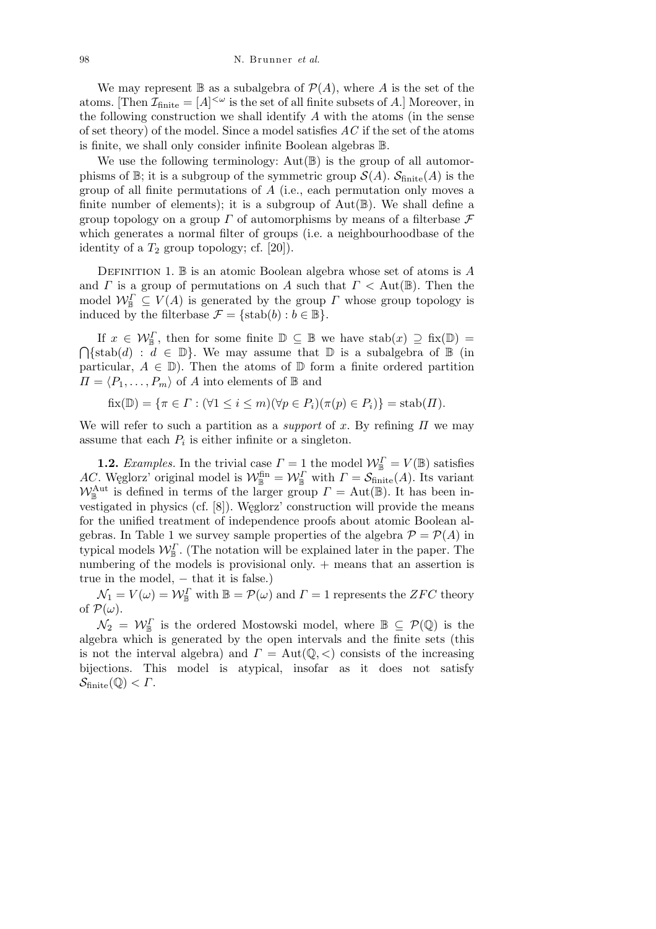We may represent  $\mathbb B$  as a subalgebra of  $\mathcal P(A)$ , where *A* is the set of the atoms. [Then  $\mathcal{I}_{\text{finite}} = [A]^{<\omega}$  is the set of all finite subsets of A.] Moreover, in the following construction we shall identify *A* with the atoms (in the sense of set theory) of the model. Since a model satisfies *AC* if the set of the atoms is finite, we shall only consider infinite Boolean algebras B.

We use the following terminology:  $Aut(\mathbb{B})$  is the group of all automorphisms of  $\mathbb{B}$ ; it is a subgroup of the symmetric group  $\mathcal{S}(A)$ .  $\mathcal{S}_{\text{finite}}(A)$  is the group of all finite permutations of *A* (i.e., each permutation only moves a finite number of elements); it is a subgroup of  $Aut(\mathbb{B})$ . We shall define a group topology on a group *Γ* of automorphisms by means of a filterbase *F* which generates a normal filter of groups (i.e. a neighbourhoodbase of the identity of a  $T_2$  group topology; cf. [20]).

Definition 1. B is an atomic Boolean algebra whose set of atoms is *A* and *Γ* is a group of permutations on *A* such that  $\Gamma < \text{Aut}(\mathbb{B})$ . Then the model  $\mathcal{W}_{\mathbb{B}}^{\Gamma} \subseteq V(A)$  is generated by the group *Γ* whose group topology is induced by the filterbase  $\mathcal{F} = \{\text{stab}(b) : b \in \mathbb{B}\}.$ 

If  $x \in \mathcal{W}_{\mathbb{B}}^{\Gamma}$ , then for some finite  $\mathbb{D} \subseteq \mathbb{B}$  we have  $stab(x) \supseteq fix(\mathbb{D}) =$  $\overline{a}$  $\{\text{stab}(d) : d \in \mathbb{D}\}.$  We may assume that  $\mathbb D$  is a subalgebra of  $\mathbb B$  (in particular,  $A \in \mathbb{D}$ ). Then the atoms of  $\mathbb D$  form a finite ordered partition  $\Pi = \langle P_1, \ldots, P_m \rangle$  of *A* into elements of **B** and

 $fix(\mathbb{D}) = \{\pi \in \Gamma : (\forall 1 \leq i \leq m)(\forall p \in P_i)(\pi(p) \in P_i)\} = stab(\Pi).$ 

We will refer to such a partition as a *support* of *x*. By refining *Π* we may assume that each  $P_i$  is either infinite or a singleton.

**1.2.** *Examples.* In the trivial case  $\Gamma = 1$  the model  $\mathcal{W}_{\mathbb{B}}^{\Gamma} = V(\mathbb{B})$  satisfies *AC*. Weglorz' original model is  $W_{\mathbb{B}}^{\text{fin}} = W_{\mathbb{B}}^{\Gamma}$  with  $\Gamma = \mathcal{S}_{\text{finite}}(A)$ . Its variant  $W_{\mathbb{B}}^{\text{Aut}}$  is defined in terms of the larger group  $\Gamma = \text{Aut}(\mathbb{B})$ . It has been investigated in physics (cf. [8]). Węglorz' construction will provide the means for the unified treatment of independence proofs about atomic Boolean algebras. In Table 1 we survey sample properties of the algebra  $\mathcal{P} = \mathcal{P}(A)$  in typical models  $\mathcal{W}_{\mathbb{B}}^{\Gamma}$ . (The notation will be explained later in the paper. The numbering of the models is provisional only. + means that an assertion is true in the model, *−* that it is false.)

 $\mathcal{N}_1 = V(\omega) = \mathcal{W}_{\mathbb{B}}^{\Gamma}$  with  $\mathbb{B} = \mathcal{P}(\omega)$  and  $\Gamma = 1$  represents the *ZFC* theory of  $\mathcal{P}(\omega)$ .

 $\mathcal{N}_2 = \mathcal{W}_{\mathbb{B}}^{\Gamma}$  is the ordered Mostowski model, where  $\mathbb{B} \subseteq \mathcal{P}(\mathbb{Q})$  is the algebra which is generated by the open intervals and the finite sets (this is not the interval algebra) and  $\Gamma = \text{Aut}(\mathbb{Q}, \langle)$  consists of the increasing bijections. This model is atypical, insofar as it does not satisfy  $\mathcal{S}_{\text{finite}}(\mathbb{Q}) < \Gamma$ .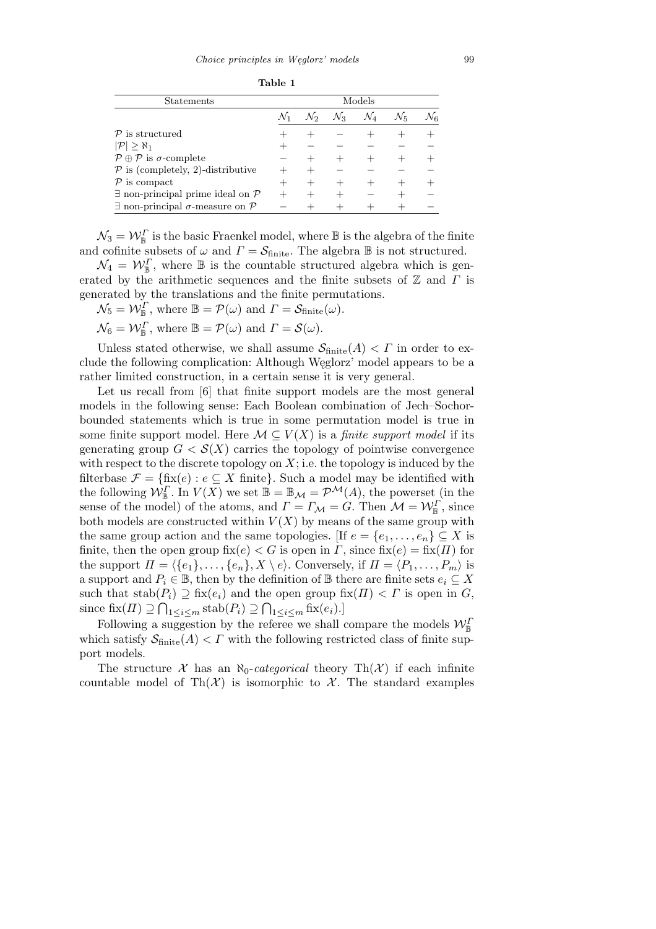**Table 1**

| Statements                                                | Models |                 |                 |                 |         |    |
|-----------------------------------------------------------|--------|-----------------|-----------------|-----------------|---------|----|
|                                                           |        | $\mathcal{N}_2$ | $\mathcal{N}_3$ | $\mathcal{N}_4$ | $N_{5}$ | Nε |
| $\mathcal{P}$ is structured                               |        |                 |                 |                 |         |    |
| $ \mathcal{P}  > \aleph_1$                                |        |                 |                 |                 |         |    |
| $P \oplus P$ is $\sigma$ -complete                        |        |                 |                 |                 |         |    |
| $P$ is (completely, 2)-distributive                       |        |                 |                 |                 |         |    |
| $P$ is compact                                            |        |                 |                 |                 |         |    |
| $\exists$ non-principal prime ideal on $\mathcal P$       |        |                 |                 |                 |         |    |
| $\exists$ non-principal $\sigma$ -measure on $\mathcal P$ |        |                 |                 |                 |         |    |

 $\mathcal{N}_3 = \mathcal{W}_{\mathbb{B}}^{\Gamma}$  is the basic Fraenkel model, where  $\mathbb B$  is the algebra of the finite and cofinite subsets of  $\omega$  and  $\Gamma = \mathcal{S}_{\text{finite}}$ . The algebra **B** is not structured.

 $\mathcal{N}_4 = \mathcal{W}_{\mathbb{B}}^{\Gamma}$ , where  $\mathbb{B}$  is the countable structured algebra which is generated by the arithmetic sequences and the finite subsets of Z and *Γ* is generated by the translations and the finite permutations.

 $\mathcal{N}_5 = \mathcal{W}_{\mathbb{B}}^{\Gamma}$ , where  $\mathbb{B} = \mathcal{P}(\omega)$  and  $\Gamma = \mathcal{S}_{\text{finite}}(\omega)$ .

 $\mathcal{N}_6 = \mathcal{W}_{\mathbb{B}}^{\Gamma}$ , where  $\mathbb{B} = \mathcal{P}(\omega)$  and  $\Gamma = \mathcal{S}(\omega)$ .

Unless stated otherwise, we shall assume  $S_{\text{finite}}(A) < \Gamma$  in order to exclude the following complication: Although Węglorz' model appears to be a rather limited construction, in a certain sense it is very general.

Let us recall from [6] that finite support models are the most general models in the following sense: Each Boolean combination of Jech–Sochorbounded statements which is true in some permutation model is true in some finite support model. Here  $\mathcal{M} \subseteq V(X)$  is a *finite support model* if its generating group  $G < \mathcal{S}(X)$  carries the topology of pointwise convergence with respect to the discrete topology on  $X$ ; i.e. the topology is induced by the filterbase  $\mathcal{F} = \{\text{fix}(e) : e \subseteq X \text{ finite}\}\.$  Such a model may be identified with the following  $W_{\mathbb{B}}^{\Gamma}$ . In  $V(X)$  we set  $\mathbb{B} = \mathbb{B}_{\mathcal{M}} = \mathcal{P}^{\mathcal{M}}(A)$ , the powerset (in the sense of the model) of the atoms, and  $\Gamma = \Gamma_{\mathcal{M}} = G$ . Then  $\mathcal{M} = \mathcal{W}_{\mathbb{B}}^{\Gamma}$ , since both models are constructed within  $V(X)$  by means of the same group with the same group action and the same topologies. [If  $e = \{e_1, \ldots, e_n\} \subseteq X$  is finite, then the open group  $fix(e) < G$  is open in *Γ*, since  $fix(e) = fix(\Pi)$  for the support  $\Pi = \langle \{e_1\}, \ldots, \{e_n\}, X \setminus e \rangle$ . Conversely, if  $\Pi = \langle P_1, \ldots, P_m \rangle$  is a support and  $P_i \in \mathbb{B}$ , then by the definition of  $\mathbb{B}$  there are finite sets  $e_i \subseteq X$ such that  $stab(P_i) \supseteq fix(e_i)$  and the open group  $fix(\Pi) < \Gamma$  is open in *G*, since  $fix(\Pi) \supseteq \bigcap_{1 \leq i \leq m} stab(P_i) \supseteq \bigcap_{1 \leq i \leq m} fix(e_i).$ 

Following a suggestion by the referee we shall compare the models  $\mathcal{W}_{\mathbb{B}}^I$ which satisfy  $S_{\text{finite}}(A) < \Gamma$  with the following restricted class of finite support models.

The structure  $\mathcal X$  has an  $\aleph_0$ -*categorical* theory Th $(\mathcal X)$  if each infinite countable model of  $\text{Th}(\mathcal{X})$  is isomorphic to  $\mathcal{X}$ . The standard examples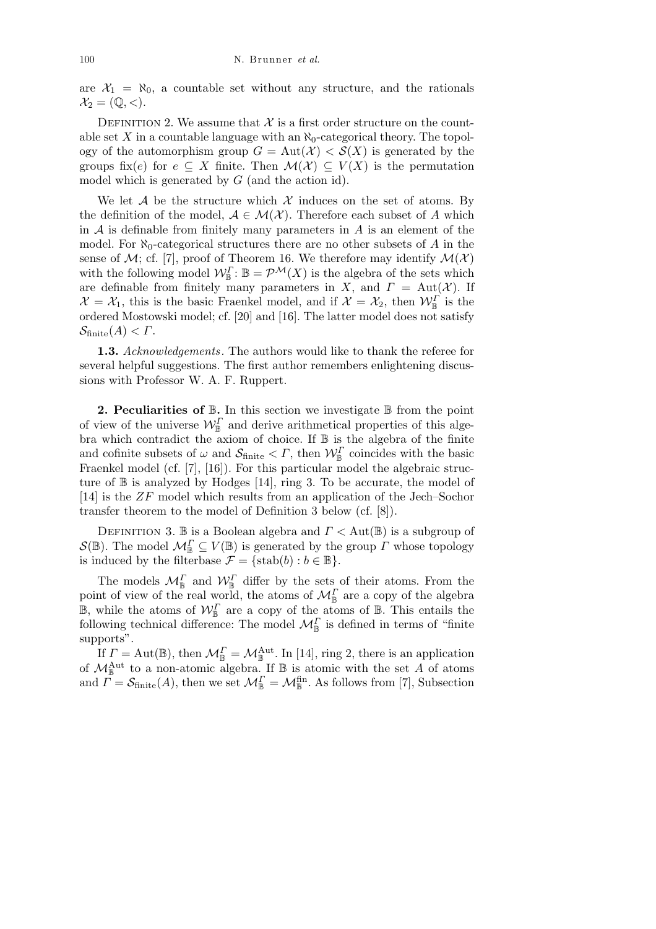are  $X_1 = \aleph_0$ , a countable set without any structure, and the rationals  $\mathcal{X}_2 = (\mathbb{Q}, \lt).$ 

DEFINITION 2. We assume that  $\mathcal X$  is a first order structure on the countable set  $X$  in a countable language with an  $\aleph_0$ -categorical theory. The topology of the automorphism group  $G = Aut(X) < S(X)$  is generated by the groups fix(*e*) for  $e \subseteq X$  finite. Then  $\mathcal{M}(\mathcal{X}) \subseteq V(X)$  is the permutation model which is generated by *G* (and the action id).

We let *A* be the structure which  $\mathcal X$  induces on the set of atoms. By the definition of the model,  $A \in \mathcal{M}(\mathcal{X})$ . Therefore each subset of *A* which in  $A$  is definable from finitely many parameters in  $A$  is an element of the model. For  $\aleph_0$ -categorical structures there are no other subsets of *A* in the sense of  $M$ ; cf. [7], proof of Theorem 16. We therefore may identify  $M(\mathcal{X})$ with the following model  $\mathcal{W}_{\mathbb{B}}^{\Gamma}$ :  $\mathbb{B} = \mathcal{P}^{\mathcal{M}}(X)$  is the algebra of the sets which are definable from finitely many parameters in *X*, and  $\Gamma = \text{Aut}(\mathcal{X})$ . If  $\mathcal{X} = \mathcal{X}_1$ , this is the basic Fraenkel model, and if  $\mathcal{X} = \mathcal{X}_2$ , then  $\mathcal{W}_{\mathbb{B}}^{\Gamma}$  is the ordered Mostowski model; cf. [20] and [16]. The latter model does not satisfy  $\mathcal{S}_{\text{finite}}(A) < \Gamma.$ 

**1.3.** *Acknowledgements .* The authors would like to thank the referee for several helpful suggestions. The first author remembers enlightening discussions with Professor W. A. F. Ruppert.

**2. Peculiarities of**  $\mathbb{B}$ **.** In this section we investigate  $\mathbb{B}$  from the point of view of the universe  $\mathcal{W}_{\mathbb{B}}^{\Gamma}$  and derive arithmetical properties of this algebra which contradict the axiom of choice. If  $\mathbb B$  is the algebra of the finite and cofinite subsets of  $\omega$  and  $\mathcal{S}_{\text{finite}} < \Gamma$ , then  $\mathcal{W}_{\mathbb{B}}^{\Gamma}$  coincides with the basic Fraenkel model (cf. [7], [16]). For this particular model the algebraic structure of  $\mathbb B$  is analyzed by Hodges [14], ring 3. To be accurate, the model of [14] is the *ZF* model which results from an application of the Jech–Sochor transfer theorem to the model of Definition 3 below (cf. [8]).

Definition 3. B is a Boolean algebra and *Γ <* Aut(B) is a subgroup of  $S(\mathbb{B})$ . The model  $\mathcal{M}_{\mathbb{B}}^{\Gamma} \subseteq V(\mathbb{B})$  is generated by the group *Γ* whose topology is induced by the filterbase  $\mathcal{F} = \{\text{stab}(b) : b \in \mathbb{B}\}.$ 

The models  $\mathcal{M}_{\mathbb{B}}^{\Gamma}$  and  $\mathcal{W}_{\mathbb{B}}^{\Gamma}$  differ by the sets of their atoms. From the point of view of the real world, the atoms of  $\mathcal{M}_{\mathbb{B}}^{\Gamma}$  are a copy of the algebra  $\mathbb{B}$ , while the atoms of  $\mathcal{W}_{\mathbb{B}}^{\Gamma}$  are a copy of the atoms of  $\mathbb{B}$ . This entails the following technical difference: The model  $\mathcal{M}_{\mathbb{B}}^{\Gamma}$  is defined in terms of "finite supports".

If  $\Gamma = \text{Aut}(\mathbb{B})$ , then  $\mathcal{M}_{\mathbb{B}}^{\Gamma} = \mathcal{M}_{\mathbb{B}}^{\text{Aut}}$ . In [14], ring 2, there is an application of  $\mathcal{M}_{\mathbb{B}}^{\text{Aut}}$  to a non-atomic algebra. If  $\mathbb B$  is atomic with the set *A* of atoms and  $\overline{\Gamma} = \mathcal{S}_{\text{finite}}(A)$ , then we set  $\mathcal{M}_{\mathbb{B}}^{\Gamma} = \mathcal{M}_{\mathbb{B}}^{\text{fin}}$ . As follows from [7], Subsection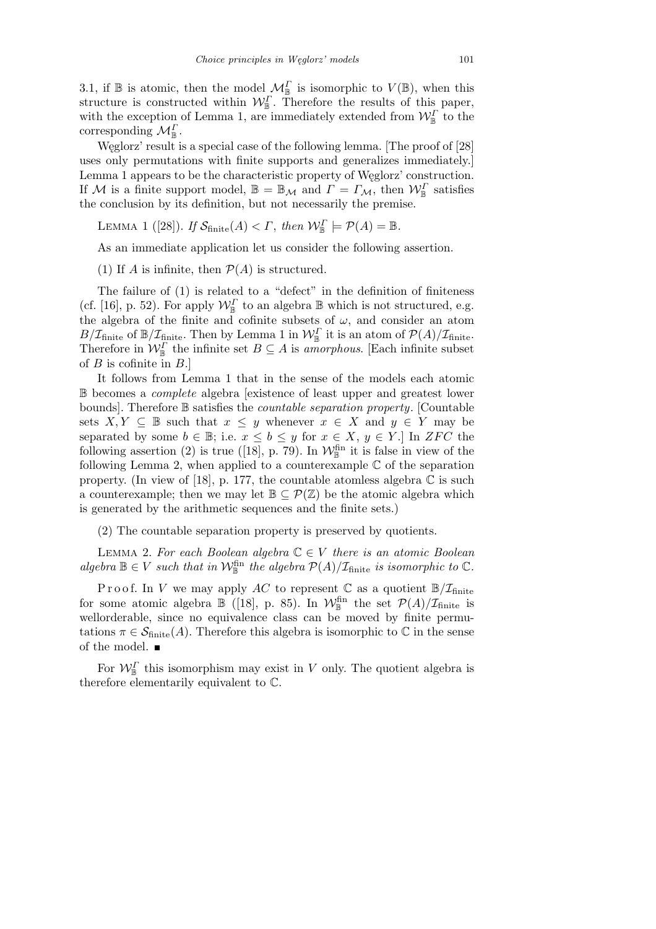3.1, if  $\mathbb B$  is atomic, then the model  $\mathcal M^{\Gamma}_{\mathbb B}$  is isomorphic to  $V(\mathbb B)$ , when this structure is constructed within  $W_{\mathbb{B}}^{\Gamma}$ . Therefore the results of this paper, with the exception of Lemma 1, are immediately extended from  $\mathcal{W}_{\mathbb{B}}^{\Gamma}$  to the corresponding  $\mathcal{M}_{\mathbb{B}}^{\Gamma}$ .

Węglorz' result is a special case of the following lemma. [The proof of [28] uses only permutations with finite supports and generalizes immediately.] Lemma 1 appears to be the characteristic property of Węglorz' construction. If *M* is a finite support model,  $\mathbb{B} = \mathbb{B}_{\mathcal{M}}$  and  $\Gamma = \Gamma_{\mathcal{M}}$ , then  $\mathcal{W}_{\mathbb{B}}^{\Gamma}$  satisfies the conclusion by its definition, but not necessarily the premise.

LEMMA 1 ([28]). *If*  $S_{\text{finite}}(A) < \Gamma$ , then  $W_{\mathbb{B}}^{\Gamma} \models \mathcal{P}(A) = \mathbb{B}$ .

As an immediate application let us consider the following assertion.

(1) If *A* is infinite, then  $P(A)$  is structured.

The failure of (1) is related to a "defect" in the definition of finiteness (cf. [16], p. 52). For apply  $W^{\Gamma}_{\mathbb{B}}$  to an algebra  $\mathbb{B}$  which is not structured, e.g. the algebra of the finite and cofinite subsets of  $\omega$ , and consider an atom  $B/\mathcal{I}_{\text{finite}}$  of  $\mathbb{B}/\mathcal{I}_{\text{finite}}$ . Then by Lemma 1 in  $\mathcal{W}_{\mathbb{B}}^{\Gamma}$  it is an atom of  $\mathcal{P}(A)/\mathcal{I}_{\text{finite}}$ . Therefore in  $\mathcal{W}_{\mathbb{B}}^{\Gamma}$  the infinite set  $B \subseteq A$  is *amorphous*. [Each infinite subset of *B* is cofinite in *B*.]

It follows from Lemma 1 that in the sense of the models each atomic B becomes a *complete* algebra [existence of least upper and greatest lower bounds]. Therefore B satisfies the *countable separation property*. [Countable sets  $X, Y \subseteq \mathbb{B}$  such that  $x \leq y$  whenever  $x \in X$  and  $y \in Y$  may be separated by some  $b \in \mathbb{B}$ ; i.e.  $x \leq b \leq y$  for  $x \in X$ ,  $y \in Y$ .] In *ZFC* the following assertion (2) is true ([18], p. 79). In  $\mathcal{W}_{\mathbb{B}}^{\text{fin}}$  it is false in view of the following Lemma 2, when applied to a counterexample  $\mathbb C$  of the separation property. (In view of [18], p. 177, the countable atomless algebra  $\mathbb C$  is such a counterexample; then we may let  $\mathbb{B} \subset \mathcal{P}(\mathbb{Z})$  be the atomic algebra which is generated by the arithmetic sequences and the finite sets.)

(2) The countable separation property is preserved by quotients.

Lemma 2. *For each Boolean algebra* C *∈ V there is an atomic Boolean algebra*  $\mathbb{B} \in V$  *such that in*  $\mathcal{W}_{\mathbb{B}}^{\text{fin}}$  *the algebra*  $\mathcal{P}(A)/\mathcal{I}_{\text{finite}}$  *is isomorphic to*  $\mathbb{C}$ *.* 

Proof. In *V* we may apply AC to represent  $\mathbb{C}$  as a quotient  $\mathbb{B}/\mathcal{I}_{\text{finite}}$ for some atomic algebra  $\mathbb{B}$  ([18], p. 85). In  $\mathcal{W}_{\mathbb{B}}^{\text{fin}}$  the set  $\mathcal{P}(A)/\mathcal{I}_{\text{finite}}$  is wellorderable, since no equivalence class can be moved by finite permutations  $\pi \in \mathcal{S}_{\text{finite}}(A)$ . Therefore this algebra is isomorphic to  $\mathbb C$  in the sense of the model.

For  $\mathcal{W}_{\mathbb{B}}^{\Gamma}$  this isomorphism may exist in *V* only. The quotient algebra is therefore elementarily equivalent to C.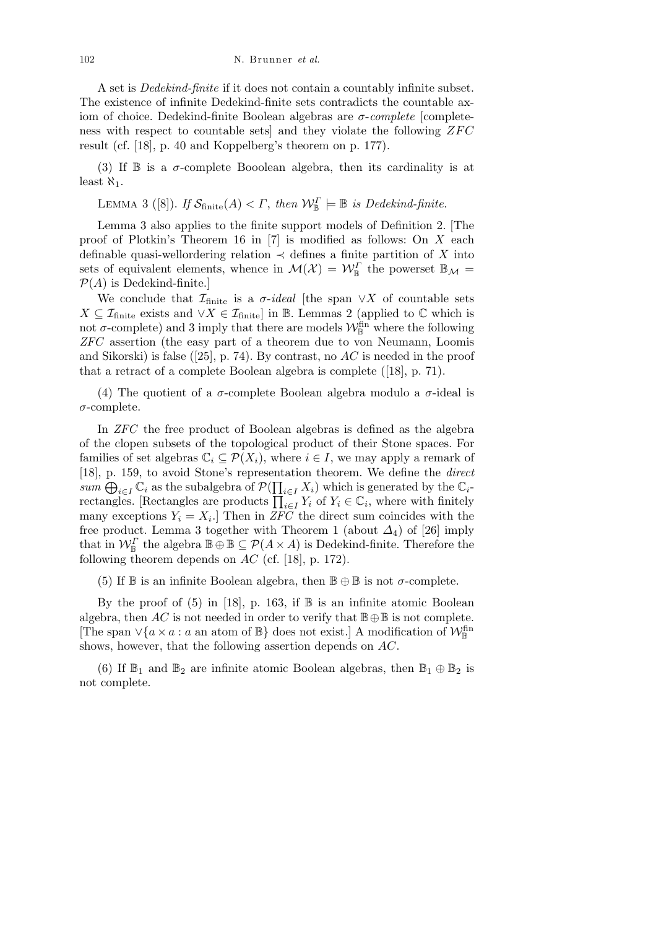102 N. Brunner *et al.*

A set is *Dedekind-finite* if it does not contain a countably infinite subset. The existence of infinite Dedekind-finite sets contradicts the countable axiom of choice. Dedekind-finite Boolean algebras are *σ*-*complete* [completeness with respect to countable sets] and they violate the following *ZFC* result (cf. [18], p. 40 and Koppelberg's theorem on p. 177).

(3) If  $\mathbb B$  is a  $\sigma$ -complete Booolean algebra, then its cardinality is at least  $\aleph_1$ .

LEMMA 3 ([8]). *If*  $S_{\text{finite}}(A) < \Gamma$ , then  $W_{\mathbb{B}}^{\Gamma} \models \mathbb{B}$  is Dedekind-finite.

Lemma 3 also applies to the finite support models of Definition 2. [The proof of Plotkin's Theorem 16 in [7] is modified as follows: On *X* each definable quasi-wellordering relation  $\prec$  defines a finite partition of *X* into sets of equivalent elements, whence in  $\mathcal{M}(\mathcal{X}) = \mathcal{W}_{\mathbb{B}}^{\Gamma}$  the powerset  $\mathbb{B}_{\mathcal{M}} =$  $P(A)$  is Dedekind-finite.]

We conclude that  $\mathcal{I}_{\text{finite}}$  is a  $\sigma$ -ideal [the span  $\vee X$  of countable sets *X*  $\subseteq$  *I*<sub>finite</sub> exists and *∨X*  $\in$  *I*<sub>finite</sub>] in B. Lemmas 2 (applied to  $\mathbb{C}$  which is not  $\sigma$ -complete) and 3 imply that there are models  $\mathcal{W}_{\mathbb{B}}^{\text{fin}}$  where the following *ZFC* assertion (the easy part of a theorem due to von Neumann, Loomis and Sikorski) is false ([25], p. 74). By contrast, no *AC* is needed in the proof that a retract of a complete Boolean algebra is complete ([18], p. 71).

(4) The quotient of a  $\sigma$ -complete Boolean algebra modulo a  $\sigma$ -ideal is *σ*-complete.

In *ZFC* the free product of Boolean algebras is defined as the algebra of the clopen subsets of the topological product of their Stone spaces. For families of set algebras  $\mathbb{C}_i \subseteq \mathcal{P}(X_i)$ , where  $i \in I$ , we may apply a remark of [18], p. 159, to avoid Stone's representation theorem. We define the *direct* Q  $sum \oplus_{i \in I} C_i$  as the subalgebra of  $P(\prod_{i \in I} X_i)$  which is generated by the  $C_i$ *sum*  $\bigoplus_{i\in I} \mathbb{C}_i$  as the subalgebra of  $P(\prod_{i\in I} X_i)$  which is generated by the  $\mathbb{C}_i$ -<br>rectangles. [Rectangles are products  $\prod_{i\in I} Y_i$  of  $Y_i \in \mathbb{C}_i$ , where with finitely many exceptions  $Y_i = X_i$ . Then in *ZFC* the direct sum coincides with the free product. Lemma 3 together with Theorem 1 (about  $\Delta_4$ ) of [26] imply that in  $\mathcal{W}_{\mathbb{B}}^{\Gamma}$  the algebra  $\mathbb{B} \oplus \mathbb{B} \subseteq \mathcal{P}(A \times A)$  is Dedekind-finite. Therefore the following theorem depends on *AC* (cf. [18], p. 172).

(5) If  $\mathbb B$  is an infinite Boolean algebra, then  $\mathbb B \oplus \mathbb B$  is not  $\sigma$ -complete.

By the proof of  $(5)$  in [18], p. 163, if  $\mathbb B$  is an infinite atomic Boolean algebra, then *AC* is not needed in order to verify that  $\mathbb{B} \oplus \mathbb{B}$  is not complete. [The span  $\vee$ {*a* × *a* : *a* an atom of  $\mathbb{B}$ } does not exist.] A modification of  $\mathcal{W}_{\mathbb{B}}^{\text{fin}}$ shows, however, that the following assertion depends on *AC*.

(6) If  $\mathbb{B}_1$  and  $\mathbb{B}_2$  are infinite atomic Boolean algebras, then  $\mathbb{B}_1 \oplus \mathbb{B}_2$  is not complete.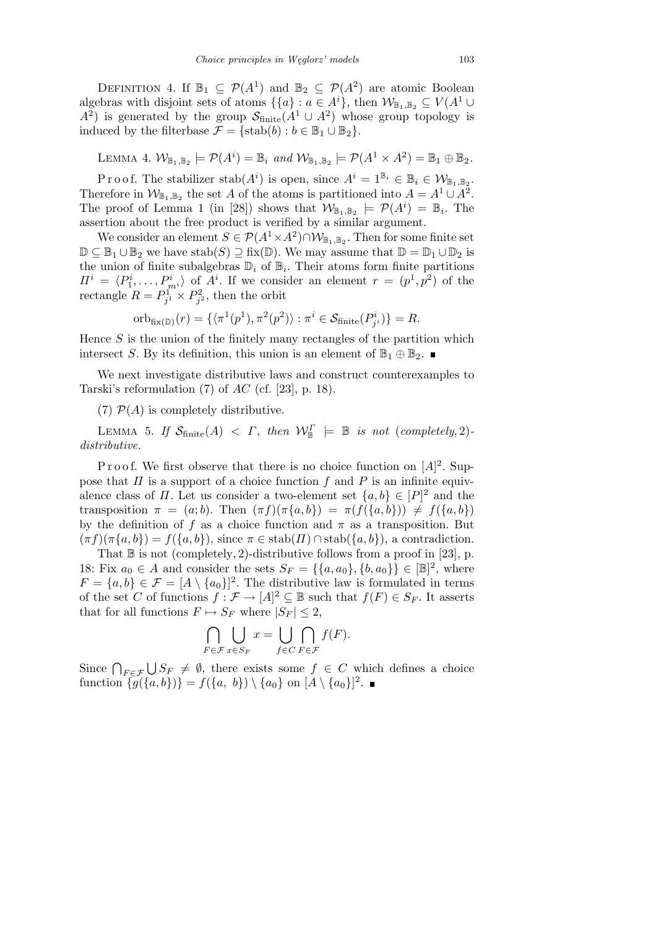DEFINITION 4. If  $\mathbb{B}_1 \subseteq \mathcal{P}(A^1)$  and  $\mathbb{B}_2 \subseteq \mathcal{P}(A^2)$  are atomic Boolean algebras with disjoint sets of atoms  $\{\{a\} : a \in A^i\}$ , then  $\mathcal{W}_{\mathbb{B}_1, \mathbb{B}_2} \subseteq V(A^1 \cup$  $A^2$ ) is generated by the group  $S_{\text{finite}}(A^1 \cup A^2)$  whose group topology is induced by the filterbase  $\mathcal{F} = \{\text{stab}(b) : b \in \mathbb{B}_1 \cup \mathbb{B}_2\}.$ 

LEMMA 4.  $\mathcal{W}_{\mathbb{B}_1,\mathbb{B}_2} \models \mathcal{P}(A^i) = \mathbb{B}_i$  and  $\mathcal{W}_{\mathbb{B}_1,\mathbb{B}_2} \models \mathcal{P}(A^1 \times A^2) = \mathbb{B}_1 \oplus \mathbb{B}_2$ .

Proof. The stabilizer stab $(A^i)$  is open, since  $A^i = 1^{\mathbb{B}_i} \in \mathbb{B}_i \in \mathcal{W}_{\mathbb{B}_1, \mathbb{B}_2}$ . Therefore in  $\mathcal{W}_{\mathbb{B}_1,\mathbb{B}_2}$  the set *A* of the atoms is partitioned into  $A = A^1 \cup A^2$ . The proof of Lemma 1 (in [28]) shows that  $\mathcal{W}_{\mathbb{B}_1,\mathbb{B}_2} \models \mathcal{P}(A^i) = \mathbb{B}_i$ . The assertion about the free product is verified by a similar argument.

We consider an element  $S \in \mathcal{P}(A^1 \times A^2) \cap \mathcal{W}_{\mathbb{B}_1, \mathbb{B}_2}$ . Then for some finite set  $\mathbb{D} \subseteq \mathbb{B}_1 \cup \mathbb{B}_2$  we have  $stab(S) \supseteq fix(\mathbb{D})$ . We may assume that  $\mathbb{D} = \mathbb{D}_1 \cup \mathbb{D}_2$  is the union of finite subalgebras  $\mathbb{D}_i$  of  $\mathbb{B}_i$ . Their atoms form finite partitions  $\Pi^i = \langle P_1^i, \ldots, P_{m^i}^i \rangle$  of  $A^i$ . If we consider an element  $r = (p^1, p^2)$  of the rectangle  $R = P_{j}^{\text{T}} \times P_{j}^{\text{2}}$ , then the orbit

$$
\mathrm{orb}_{\mathrm{fix}(\mathbb{D})}(r) = \{ \langle \pi^1(p^1), \pi^2(p^2) \rangle : \pi^i \in \mathcal{S}_{\mathrm{finite}}(P^i_{j^i}) \} = R.
$$

Hence *S* is the union of the finitely many rectangles of the partition which intersect *S*. By its definition, this union is an element of  $\mathbb{B}_1 \oplus \mathbb{B}_2$ .

We next investigate distributive laws and construct counterexamples to Tarski's reformulation (7) of *AC* (cf. [23], p. 18).

(7)  $P(A)$  is completely distributive.

LEMMA 5. *If*  $S_{\text{finite}}(A) < \Gamma$ , then  $W_{\mathbb{B}}^{\Gamma} \models \mathbb{B}$  is not (completely, 2)*distributive.*

P r o o f. We first observe that there is no choice function on  $[A]^2$ . Suppose that *Π* is a support of a choice function *f* and *P* is an infinite equivalence class of *Π*. Let us consider a two-element set  $\{a, b\} \in [P]^2$  and the transposition  $\pi = (a, b)$ . Then  $(\pi f)(\pi \{a, b\}) = \pi (f(\{a, b\})) \neq f(\{a, b\})$ by the definition of *f* as a choice function and  $\pi$  as a transposition. But  $(\pi f)(\pi \{a, b\}) = f(\{a, b\})$ , since  $\pi \in \text{stab}(H) \cap \text{stab}(\{a, b\})$ , a contradiction.

That  $\mathbb B$  is not (completely, 2)-distributive follows from a proof in [23], p. 18: Fix  $a_0 \in A$  and consider the sets  $S_F = \{\{a, a_0\}, \{b, a_0\}\} \in [\mathbb{B}]^2$ , where  $F = \{a, b\} \in \mathcal{F} = [A \setminus \{a_0\}]^2$ . The distributive law is formulated in terms of the set *C* of functions  $f: \mathcal{F} \to [A]^2 \subseteq \mathbb{B}$  such that  $f(F) \in S_F$ . It asserts that for all functions  $F \mapsto S_F$  where  $|S_F| \leq 2$ ,

$$
\bigcap_{F \in \mathcal{F}} \bigcup_{x \in S_F} x = \bigcup_{f \in C} \bigcap_{F \in \mathcal{F}} f(F).
$$

Since  $\bigcap_{F \in \mathcal{F}}$ S  $S_F \neq \emptyset$ , there exists some  $f \in C$  which defines a choice  $\text{function } \{g(\{a,b\})\} = f(\{a, b\}) \setminus \{a_0\} \text{ on } [A \setminus \{a_0\}]^2.$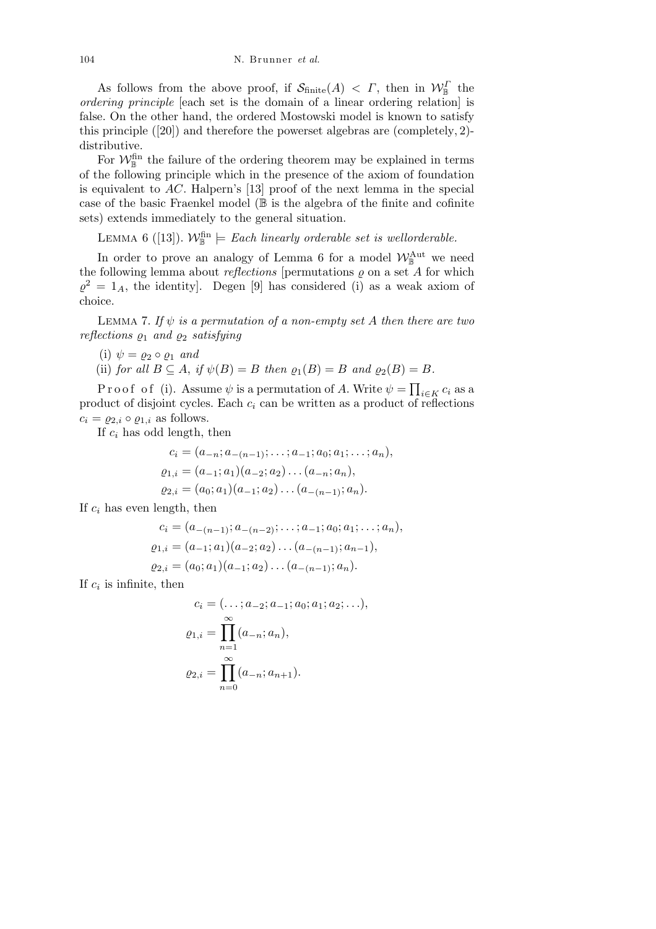As follows from the above proof, if  $S_{\text{finite}}(A) < \Gamma$ , then in  $W_{\mathbb{B}}^{\Gamma}$  the *ordering principle* [each set is the domain of a linear ordering relation] is false. On the other hand, the ordered Mostowski model is known to satisfy this principle ([20]) and therefore the powerset algebras are (completely*,* 2) distributive.

For  $\mathcal{W}_{\mathbb{B}}^{\text{fin}}$  the failure of the ordering theorem may be explained in terms of the following principle which in the presence of the axiom of foundation is equivalent to *AC*. Halpern's [13] proof of the next lemma in the special case of the basic Fraenkel model  $(\mathbb{B})$  is the algebra of the finite and cofinite sets) extends immediately to the general situation.

LEMMA 6 ([13]).  $\mathcal{W}_{\mathbb{B}}^{\text{fin}} \models$  *Each linearly orderable set is wellorderable.* 

In order to prove an analogy of Lemma 6 for a model  $\mathcal{W}_{\mathbb{B}}^{\text{Aut}}$  we need the following lemma about *reflections* [permutations  $\varrho$  on a set  $A$  for which  $\varrho^2 = 1_A$ , the identity]. Degen [9] has considered (i) as a weak axiom of choice.

LEMMA 7. If  $\psi$  *is a permutation of a non-empty set A then there are two reflections*  $\varrho_1$  *and*  $\varrho_2$  *satisfying* 

- (i)  $\psi = \varrho_2 \circ \varrho_1$  *and*
- (ii) *for all*  $B \subseteq A$ , *if*  $\psi(B) = B$  *then*  $\rho_1(B) = B$  *and*  $\rho_2(B) = B$ *.*

Proof of (i). Assume  $\psi$  is a permutation of A. Write  $\psi =$  $\overline{a}$ *<sup>i</sup>∈<sup>K</sup> c<sup>i</sup>* as a product of disjoint cycles. Each  $c_i$  can be written as a product of reflections  $c_i = \varrho_{2,i} \circ \varrho_{1,i}$  as follows.

If *c<sup>i</sup>* has odd length, then

$$
c_i = (a_{-n}; a_{-(n-1)}; \dots; a_{-1}; a_0; a_1; \dots; a_n),
$$
  
\n
$$
\varrho_{1,i} = (a_{-1}; a_1)(a_{-2}; a_2) \dots (a_{-n}; a_n),
$$
  
\n
$$
\varrho_{2,i} = (a_0; a_1)(a_{-1}; a_2) \dots (a_{-(n-1)}; a_n).
$$

If *c<sup>i</sup>* has even length, then

$$
c_i = (a_{-(n-1)}; a_{-(n-2)}; \dots; a_{-1}; a_0; a_1; \dots; a_n),
$$
  
\n
$$
\varrho_{1,i} = (a_{-1}; a_1)(a_{-2}; a_2) \dots (a_{-(n-1)}; a_{n-1}),
$$
  
\n
$$
\varrho_{2,i} = (a_0; a_1)(a_{-1}; a_2) \dots (a_{-(n-1)}; a_n).
$$

If  $c_i$  is infinite, then

$$
c_i = (\dots; a_{-2}; a_{-1}; a_0; a_1; a_2; \dots),
$$
  
\n
$$
\varrho_{1,i} = \prod_{n=1}^{\infty} (a_{-n}; a_n),
$$
  
\n
$$
\varrho_{2,i} = \prod_{n=0}^{\infty} (a_{-n}; a_{n+1}).
$$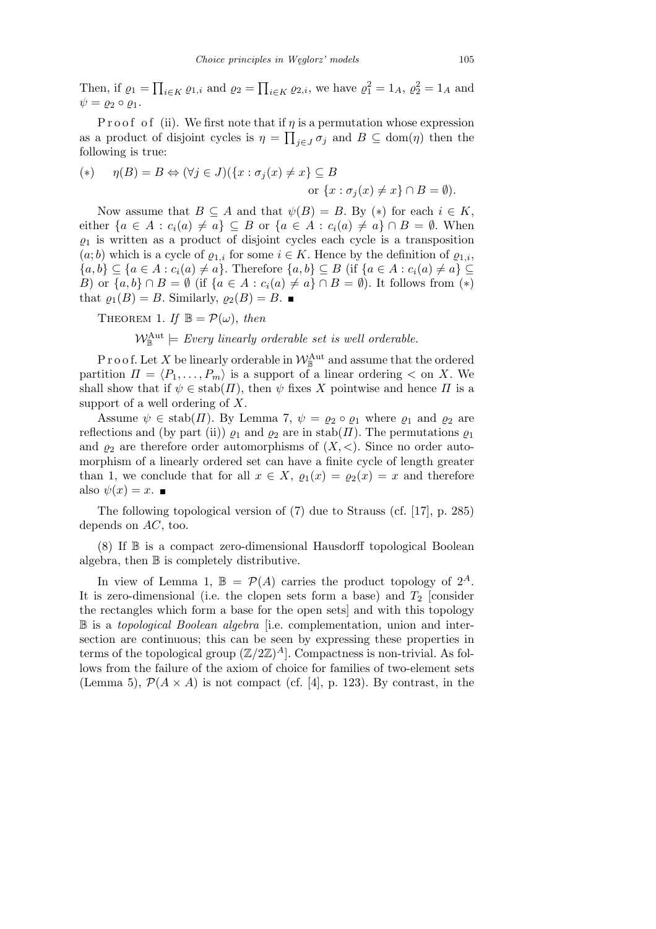Then, if  $\rho_1 =$  $\overline{ }$ *i*∈*K*  $\varrho$ <sub>1</sub>,*i* and  $\varrho$ <sub>2</sub> =  $\overline{a}$  $i \in K \ Q2, i$ , we have  $\varrho_1^2 = 1_A$ ,  $\varrho_2^2 = 1_A$  and  $\psi = \varrho_2 \circ \varrho_1.$ 

P r o o f o f (ii). We first note that if  $\eta$  is a permutation whose expression as a product of disjoint cycles is  $\eta = \prod_{j \in J} \sigma_j$  and  $B \subseteq \text{dom}(\eta)$  then the following is true:

$$
(*) \quad \eta(B) = B \Leftrightarrow (\forall j \in J)(\{x : \sigma_j(x) \neq x\} \subseteq B
$$
  
or 
$$
\{x : \sigma_j(x) \neq x\} \cap B = \emptyset).
$$

Now assume that  $B \subseteq A$  and that  $\psi(B) = B$ . By  $(*)$  for each  $i \in K$ , either  $\{a \in A : c_i(a) \neq a\} \subseteq B$  or  $\{a \in A : c_i(a) \neq a\} \cap B = \emptyset$ . When  $\rho_1$  is written as a product of disjoint cycles each cycle is a transposition  $(a; b)$  which is a cycle of  $\varrho_{1,i}$  for some  $i \in K$ . Hence by the definition of  $\varrho_{1,i}$ ,  $\{a,b\} \subseteq \{a \in A : c_i(a) \neq a\}.$  Therefore  $\{a,b\} \subseteq B$  (if  $\{a \in A : c_i(a) \neq a\} \subseteq$ *B*) or  $\{a, b\} \cap B = \emptyset$  (if  $\{a \in A : c_i(a) \neq a\} \cap B = \emptyset$ ). It follows from  $(*)$ that  $\varrho_1(B) = B$ . Similarly,  $\varrho_2(B) = B$ .

THEOREM 1. If  $\mathbb{B} = \mathcal{P}(\omega)$ , then

 $\mathcal{W}_{\mathbb{B}}^{\text{Aut}} \models$  *Every linearly orderable set is well orderable.* 

P r o o f. Let X be linearly orderable in  $\mathcal{W}_{\mathbb{B}}^{\mathrm{Aut}}$  and assume that the ordered partition  $\Pi = \langle P_1, \ldots, P_m \rangle$  is a support of a linear ordering  $\langle$  on *X*. We shall show that if  $\psi \in \text{stab}(H)$ , then  $\psi$  fixes X pointwise and hence  $\Pi$  is a support of a well ordering of *X*.

Assume  $\psi \in \text{stab}(H)$ . By Lemma 7,  $\psi = \varrho_2 \circ \varrho_1$  where  $\varrho_1$  and  $\varrho_2$  are reflections and (by part (ii))  $\varrho_1$  and  $\varrho_2$  are in stab(*Π*). The permutations  $\varrho_1$ and  $\varrho_2$  are therefore order automorphisms of  $(X, \leq)$ . Since no order automorphism of a linearly ordered set can have a finite cycle of length greater than 1, we conclude that for all  $x \in X$ ,  $\varrho_1(x) = \varrho_2(x) = x$  and therefore also  $\psi(x) = x$ .

The following topological version of (7) due to Strauss (cf. [17], p. 285) depends on *AC*, too.

 $(8)$  If  $\mathbb B$  is a compact zero-dimensional Hausdorff topological Boolean algebra, then B is completely distributive.

In view of Lemma 1,  $\mathbb{B} = \mathcal{P}(A)$  carries the product topology of  $2^A$ . It is zero-dimensional (i.e. the clopen sets form a base) and  $T_2$  [consider the rectangles which form a base for the open sets] and with this topology B is a *topological Boolean algebra* [i.e. complementation, union and intersection are continuous; this can be seen by expressing these properties in terms of the topological group  $(\mathbb{Z}/2\mathbb{Z})^A$ . Compactness is non-trivial. As follows from the failure of the axiom of choice for families of two-element sets (Lemma 5),  $\mathcal{P}(A \times A)$  is not compact (cf. [4], p. 123). By contrast, in the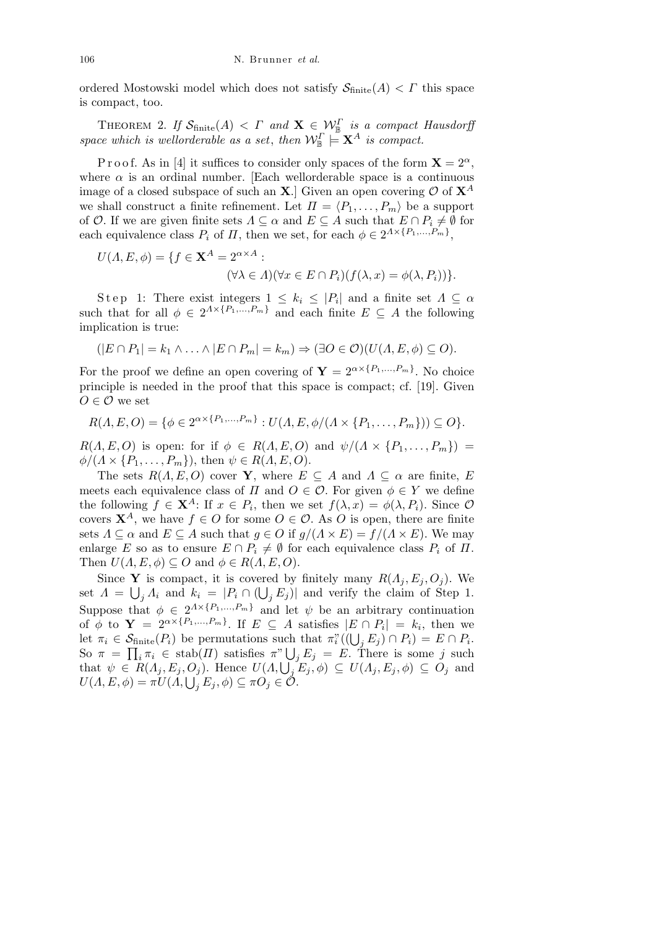ordered Mostowski model which does not satisfy  $S_{\text{finite}}(A) < \Gamma$  this space is compact, too.

THEOREM 2. *If*  $\mathcal{S}_{\text{finite}}(A) < \Gamma$  *and*  $\mathbf{X} \in \mathcal{W}_{\mathbb{B}}^{\Gamma}$  *is a compact Hausdorff space which is wellorderable as a set, then*  $\mathcal{W}_{\mathbb{B}}^{\Gamma} \models \mathbf{X}^A$  *is compact.* 

P r o o f. As in [4] it suffices to consider only spaces of the form  $\mathbf{X} = 2^{\alpha}$ , where  $\alpha$  is an ordinal number. [Each wellorderable space is a continuous image of a closed subspace of such an **X**.] Given an open covering  $O$  of  $X^A$ we shall construct a finite refinement. Let  $\Pi = \langle P_1, \ldots, P_m \rangle$  be a support of *O*. If we are given finite sets  $\Lambda \subseteq \alpha$  and  $E \subseteq A$  such that  $E \cap P_i \neq \emptyset$  for each equivalence class  $P_i$  of  $\Pi$ , then we set, for each  $\phi \in 2^{\Lambda \times \{P_1, \ldots, P_m\}}$ ,

$$
U(\Lambda, E, \phi) = \{ f \in \mathbf{X}^A = 2^{\alpha \times A} :
$$

$$
(\forall \lambda \in \Lambda)(\forall x \in E \cap P_i)(f(\lambda, x) = \phi(\lambda, P_i))\}.
$$

Step 1: There exist integers  $1 \leq k_i \leq |P_i|$  and a finite set  $\Lambda \subseteq \alpha$ such that for all  $\phi \in 2^{A \times \{P_1, ..., P_m\}}$  and each finite  $E \subseteq A$  the following implication is true:

$$
(|E \cap P_1| = k_1 \land \ldots \land |E \cap P_m| = k_m) \Rightarrow (\exists O \in \mathcal{O})(U(\Lambda, E, \phi) \subseteq O).
$$

For the proof we define an open covering of  $\mathbf{Y} = 2^{\alpha \times \{P_1, \ldots, P_m\}}$ . No choice principle is needed in the proof that this space is compact; cf. [19]. Given  $O \in \mathcal{O}$  we set

$$
R(A, E, O) = \{ \phi \in 2^{\alpha \times \{P_1, ..., P_m\}} : U(A, E, \phi/(A \times \{P_1, ..., P_m\})) \subseteq O \}.
$$

 $R(A, E, O)$  is open: for if  $\phi \in R(A, E, O)$  and  $\psi/(A \times \{P_1, \ldots, P_m\})$  =  $\phi/(A \times \{P_1, \ldots, P_m\})$ , then  $\psi \in R(A, E, O)$ .

The sets  $R(A, E, O)$  cover **Y**, where  $E \subseteq A$  and  $\Lambda \subseteq \alpha$  are finite, *E* meets each equivalence class of *Π* and  $O \in \mathcal{O}$ . For given  $\phi \in Y$  we define the following  $f \in \mathbf{X}^A$ : If  $x \in P_i$ , then we set  $f(\lambda, x) = \phi(\lambda, P_i)$ . Since  $\mathcal{O}$ covers  $X^A$ , we have  $f \in O$  for some  $O \in O$ . As *O* is open, there are finite sets  $\Lambda \subseteq \alpha$  and  $E \subseteq A$  such that  $g \in O$  if  $g/(\Lambda \times E) = f/(\Lambda \times E)$ . We may enlarge *E* so as to ensure  $E \cap P_i \neq \emptyset$  for each equivalence class  $P_i$  of  $\Pi$ . Then  $U(A, E, \phi) \subseteq O$  and  $\phi \in R(A, E, O)$ .

Since **Y** is compact, it is covered by finitely many  $R(\Lambda_j, E_j, O_j)$ . We set  $\Lambda = \bigcup_j \Lambda_i$  and  $k_i = |P_i \cap (\bigcup_j E_j)|$  and verify the claim of Step 1. Suppose that  $\phi \in 2^{A \times \{P_1, ..., P_m\}}$  and let  $\psi$  be an arbitrary continuation of  $\phi$  to  $\mathbf{Y} = 2^{\alpha \times \{P_1, \dots, P_m\}}$ . If  $E \subseteq A$  satisfies  $|E \cap P_i| = k_i$ , then we let  $\pi_i \in \mathcal{S}_{\text{finite}}(P_i)$  be permutations such that  $\pi_i^{\gamma}((\bigcup_j E_j) \cap P_i) = E \cap P_i$ . So  $\pi = \prod_i \pi_i \in \text{stab}(H)$  satisfies  $\pi^v \bigcup_j E_j = E$ . There is some j such that  $\psi \in R(\Lambda_j, E_j, O_j)$ . Hence  $U(\Lambda, \bigcup_j E_j, \phi) \subseteq U(\Lambda_j, E_j, \phi) \subseteq O_j$  and  $U(A, E, \phi) = \pi U(A, \bigcup_j E_j, \phi) \subseteq \pi O_j \in \mathcal{O}.$ <br>  $U(A, E, \phi) = \pi U(A, \bigcup_j E_j, \phi) \subseteq \pi O_j \in \mathcal{O}.$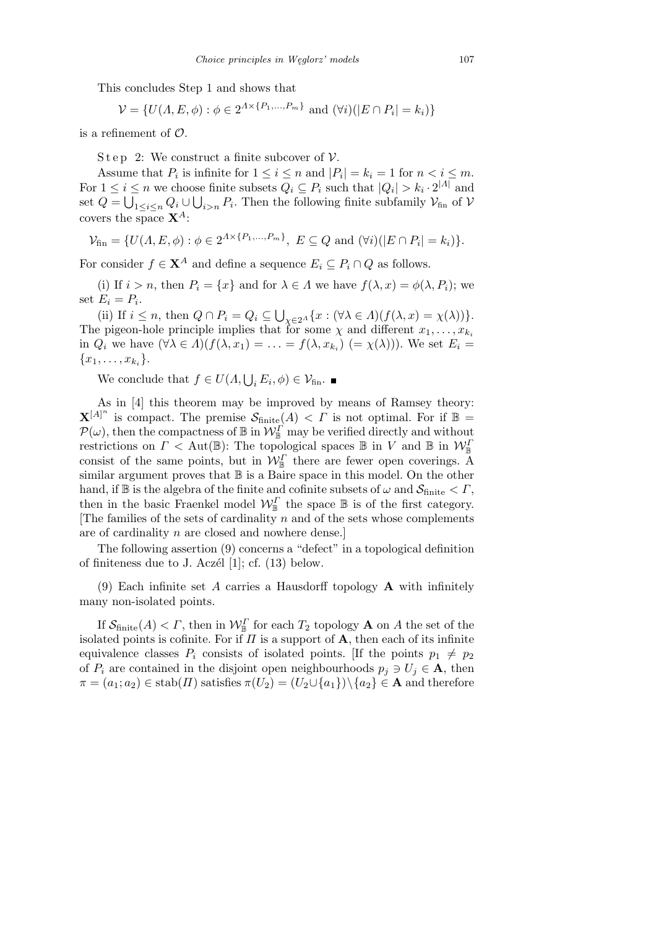This concludes Step 1 and shows that

$$
\mathcal{V} = \{ U(A, E, \phi) : \phi \in 2^{A \times \{P_1, ..., P_m\}} \text{ and } (\forall i)(|E \cap P_i| = k_i) \}
$$

is a refinement of *O*.

S t e p 2: We construct a finite subcover of  $\mathcal V$ .

Assume that  $P_i$  is infinite for  $1 \leq i \leq n$  and  $|P_i| = k_i = 1$  for  $n < i \leq m$ . For  $1 \leq i \leq n$  we choose finite subsets  $Q_i \subseteq P_i$  such that  $|Q_i| > k_i \cdot 2^{|A|}$  and set  $Q = \bigcup_{1 \leq i \leq n} Q_i \cup \bigcup_{i > n} P_i$ . Then the following finite subfamily  $\mathcal{V}_{fin}$  of  $\mathcal{V}$ covers the space **X***<sup>A</sup>*:

$$
\mathcal{V}_{\text{fin}} = \{ U(A, E, \phi) : \phi \in 2^{\Lambda \times \{P_1, ..., P_m\}}, E \subseteq Q \text{ and } (\forall i)(|E \cap P_i| = k_i) \}.
$$

For consider  $f \in \mathbf{X}^A$  and define a sequence  $E_i \subseteq P_i \cap Q$  as follows.

(i) If  $i > n$ , then  $P_i = \{x\}$  and for  $\lambda \in \Lambda$  we have  $f(\lambda, x) = \phi(\lambda, P_i)$ ; we set  $E_i = P_i$ . S

(ii) If  $i \leq n$ , then  $Q \cap P_i = Q_i \subseteq$  $\chi \in 2^A$   $\{x : (\forall \lambda \in A)(f(\lambda, x) = \chi(\lambda))\}.$ The pigeon-hole principle implies that for some  $\chi$  and different  $x_1, \ldots, x_{k_i}$ in  $Q_i$  we have  $(\forall \lambda \in \Lambda)(f(\lambda, x_1) = \ldots = f(\lambda, x_{k_i}) \ (= \chi(\lambda))$ . We set  $E_i =$  ${x_1, \ldots, x_{k_i}}.$ 

We conclude that  $f \in U(\Lambda, \bigcup_i E_i, \phi) \in \mathcal{V}_{\text{fin}}$ .

As in [4] this theorem may be improved by means of Ramsey theory:  $\mathbf{X}^{[A]^n}$  is compact. The premise  $\mathcal{S}_{\text{finite}}(A) < \Gamma$  is not optimal. For if  $\mathbb{B} =$  $P(\omega)$ , then the compactness of  $\mathbb B$  in  $\mathcal W^{\Gamma}_{\mathbb B}$  may be verified directly and without restrictions on  $\Gamma <$  Aut( $\mathbb{B}$ ): The topological spaces  $\mathbb{B}$  in *V* and  $\mathbb{B}$  in  $\mathcal{W}_{\mathbb{B}}^I$ consist of the same points, but in  $\mathcal{W}_{\mathbb{B}}^{\Gamma}$  there are fewer open coverings. A similar argument proves that  $\mathbb B$  is a Baire space in this model. On the other hand, if  $\mathbb{B}$  is the algebra of the finite and cofinite subsets of  $\omega$  and  $\mathcal{S}_{\text{finite}} < \Gamma$ , then in the basic Fraenkel model  $\mathcal{W}_{\mathbb{B}}^{\Gamma}$  the space  $\mathbb{B}$  is of the first category. [The families of the sets of cardinality *n* and of the sets whose complements are of cardinality *n* are closed and nowhere dense.]

The following assertion (9) concerns a "defect" in a topological definition of finiteness due to J. Aczél  $[1]$ ; cf.  $(13)$  below.

(9) Each infinite set *A* carries a Hausdorff topology **A** with infinitely many non-isolated points.

If  $\mathcal{S}_{\text{finite}}(A) < \Gamma$ , then in  $\mathcal{W}_{\mathbb{B}}^{\Gamma}$  for each  $T_2$  topology **A** on *A* the set of the isolated points is cofinite. For if  $\Pi$  is a support of  $\mathbf{A}$ , then each of its infinite equivalence classes  $P_i$  consists of isolated points. If the points  $p_1 \neq p_2$ of  $P_i$  are contained in the disjoint open neighbourhoods  $p_j \ni U_j \in \mathbf{A}$ , then  $\pi = (a_1; a_2) \in \text{stab}(H)$  satisfies  $\pi(U_2) = (U_2 \cup \{a_1\}) \setminus \{a_2\} \in \mathbf{A}$  and therefore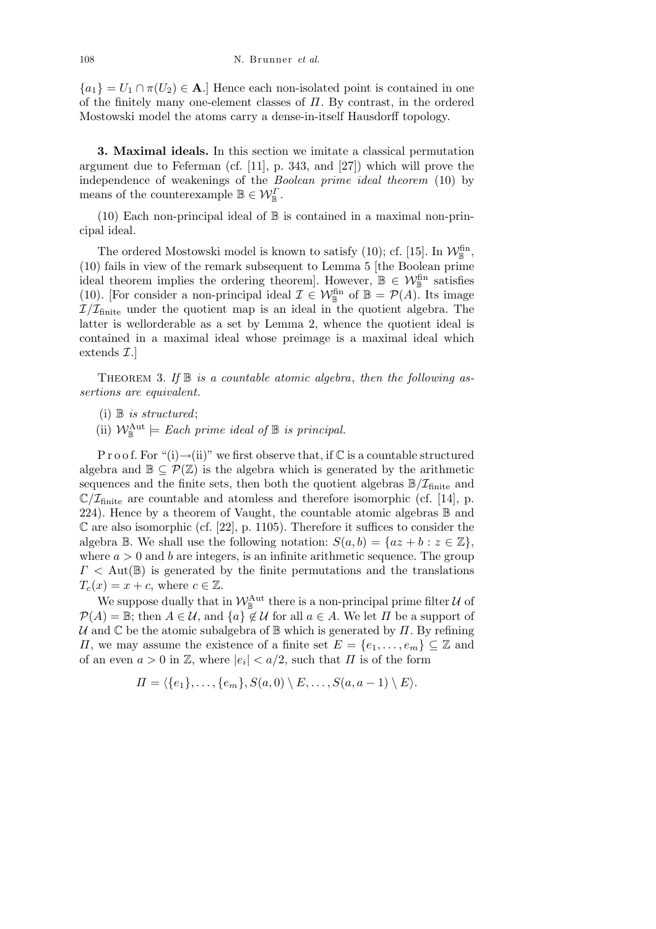${a_1} = U_1 \cap \pi(U_2) \in \mathbf{A}$ .] Hence each non-isolated point is contained in one of the finitely many one-element classes of *Π*. By contrast, in the ordered Mostowski model the atoms carry a dense-in-itself Hausdorff topology.

**3. Maximal ideals.** In this section we imitate a classical permutation argument due to Feferman (cf. [11], p. 343, and [27]) which will prove the independence of weakenings of the *Boolean prime ideal theorem* (10) by means of the counterexample  $\mathbb{B} \in \mathcal{W}_{\mathbb{B}}^{\Gamma}$ .

(10) Each non-principal ideal of  $\mathbb B$  is contained in a maximal non-principal ideal.

The ordered Mostowski model is known to satisfy (10); cf. [15]. In  $\mathcal{W}_{\mathbb{B}}^{\text{fin}},$ (10) fails in view of the remark subsequent to Lemma 5 [the Boolean prime ideal theorem implies the ordering theorem]. However,  $\mathbb{B} \in \mathcal{W}_{\mathbb{B}}^{\text{fin}}$  satisfies (10). [For consider a non-principal ideal  $\mathcal{I} \in \mathcal{W}_{\mathbb{B}}^{\text{fin}}$  of  $\mathbb{B} = \mathcal{P}(A)$ . Its image  $I/I_{\text{finite}}$  under the quotient map is an ideal in the quotient algebra. The latter is wellorderable as a set by Lemma 2, whence the quotient ideal is contained in a maximal ideal whose preimage is a maximal ideal which extends *I*.]

Theorem 3. *If* B *is a countable atomic algebra*, *then the following assertions are equivalent.*

(i) B *is structured*;

(ii)  $\mathcal{W}_{\mathbb{B}}^{\text{Aut}} \models$  *Each prime ideal of*  $\mathbb{B}$  *is principal.* 

P r o o f. For "(i)→(ii)" we first observe that, if  $\mathbb C$  is a countable structured algebra and  $\mathbb{B} \subseteq \mathcal{P}(\mathbb{Z})$  is the algebra which is generated by the arithmetic sequences and the finite sets, then both the quotient algebras  $\mathbb{B}/\mathcal{I}_{\text{finite}}$  and  $\mathbb{C}/\mathcal{I}_{\text{finite}}$  are countable and atomless and therefore isomorphic (cf. [14], p. 224). Hence by a theorem of Vaught, the countable atomic algebras  $\mathbb B$  and  $\mathbb C$  are also isomorphic (cf. [22], p. 1105). Therefore it suffices to consider the algebra  $\mathbb{B}$ . We shall use the following notation:  $S(a, b) = \{az + b : z \in \mathbb{Z}\},\$ where  $a > 0$  and b are integers, is an infinite arithmetic sequence. The group *Γ <* Aut(B) is generated by the finite permutations and the translations  $T_c(x) = x + c$ , where  $c \in \mathbb{Z}$ .

We suppose dually that in  $\mathcal{W}_{\mathbb{B}}^{\text{Aut}}$  there is a non-principal prime filter  $\mathcal U$  of  $P(A) = \mathbb{B}$ ; then  $A \in \mathcal{U}$ , and  $\{a\} \notin \mathcal{U}$  for all  $a \in A$ . We let  $\Pi$  be a support of *U* and C be the atomic subalgebra of B which is generated by *Π*. By refining *Π*, we may assume the existence of a finite set  $E = \{e_1, \ldots, e_m\} \subseteq \mathbb{Z}$  and of an even  $a > 0$  in  $\mathbb{Z}$ , where  $|e_i| < a/2$ , such that  $\Pi$  is of the form

$$
\Pi = \langle \{e_1\}, \ldots, \{e_m\}, S(a,0) \setminus E, \ldots, S(a,a-1) \setminus E \rangle.
$$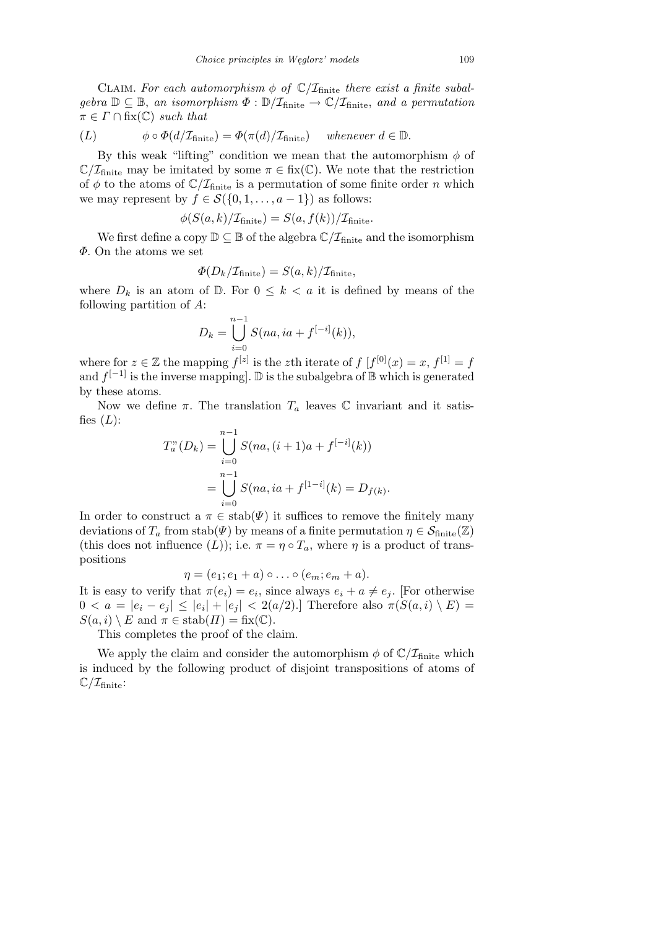CLAIM. For each automorphism  $\phi$  of  $\mathbb{C}/\mathcal{I}_{\text{finite}}$  there exist a finite subal $gebra \mathbb{D} \subseteq \mathbb{B}$ , *an isomorphism*  $\Phi : \mathbb{D}/\mathcal{I}_{\text{finite}} \to \mathbb{C}/\mathcal{I}_{\text{finite}}$ , *and a permutation*  $\pi \in \Gamma \cap$  fix( $\mathbb{C}$ ) *such that* 

$$
(L) \t\t \phi \circ \Phi(d/\mathcal{I}_{\text{finite}}) = \Phi(\pi(d)/\mathcal{I}_{\text{finite}}) \text{ whenever } d \in \mathbb{D}.
$$

By this weak "lifting" condition we mean that the automorphism *φ* of  $\mathbb{C}/\mathcal{I}_{\text{finite}}$  may be imitated by some  $\pi \in \text{fix}(\mathbb{C})$ . We note that the restriction of  $\phi$  to the atoms of  $\mathbb{C}/\mathcal{I}_{\text{finite}}$  is a permutation of some finite order *n* which we may represent by  $f \in \mathcal{S}(\{0, 1, \ldots, a-1\})$  as follows:

$$
\phi(S(a,k)/\mathcal{I}_{\text{finite}}) = S(a,f(k))/\mathcal{I}_{\text{finite}}.
$$

We first define a copy  $\mathbb{D} \subseteq \mathbb{B}$  of the algebra  $\mathbb{C}/\mathcal{I}_{\text{finite}}$  and the isomorphism *Φ*. On the atoms we set

$$
\Phi(D_k/\mathcal{I}_{\text{finite}}) = S(a,k)/\mathcal{I}_{\text{finite}},
$$

where  $D_k$  is an atom of  $\mathbb{D}$ . For  $0 \leq k < a$  it is defined by means of the following partition of *A*:

$$
D_k = \bigcup_{i=0}^{n-1} S(na, ia + f^{[-i]}(k)),
$$

where for  $z \in \mathbb{Z}$  the mapping  $f^{[z]}$  is the *z*th iterate of  $f[f^{[0]}(x) = x, f^{[1]} = f$ and  $f^{[-1]}$  is the inverse mapping]. D is the subalgebra of B which is generated by these atoms.

Now we define π. The translation  $T_a$  leaves  $\mathbb C$  invariant and it satisfies  $(L)$ :

$$
T_a^n(D_k) = \bigcup_{i=0}^{n-1} S(na, (i+1)a + f^{[-i]}(k))
$$
  
= 
$$
\bigcup_{i=0}^{n-1} S(na, ia + f^{[1-i]}(k)) = D_{f(k)}.
$$

In order to construct a  $\pi \in \text{stab}(\Psi)$  it suffices to remove the finitely many deviations of  $T_a$  from stab( $\Psi$ ) by means of a finite permutation  $\eta \in \mathcal{S}_{\text{finite}}(\mathbb{Z})$ (this does not influence  $(L)$ ); i.e.  $\pi = \eta \circ T_a$ , where  $\eta$  is a product of transpositions

$$
\eta = (e_1; e_1 + a) \circ \dots \circ (e_m; e_m + a).
$$

It is easy to verify that  $\pi(e_i) = e_i$ , since always  $e_i + a \neq e_j$ . [For otherwise  $0 < a = |e_i - e_j| \leq |e_i| + |e_j| < 2(a/2).$  Therefore also  $\pi(S(a, i) \setminus E) =$  $S(a, i) \setminus E$  and  $\pi \in \text{stab}(H) = \text{fix}(\mathbb{C}).$ 

This completes the proof of the claim.

We apply the claim and consider the automorphism  $\phi$  of  $\mathbb{C}/\mathcal{I}_{\text{finite}}$  which is induced by the following product of disjoint transpositions of atoms of  $\mathbb{C}/\mathcal{I}_{\text{finite}}$ :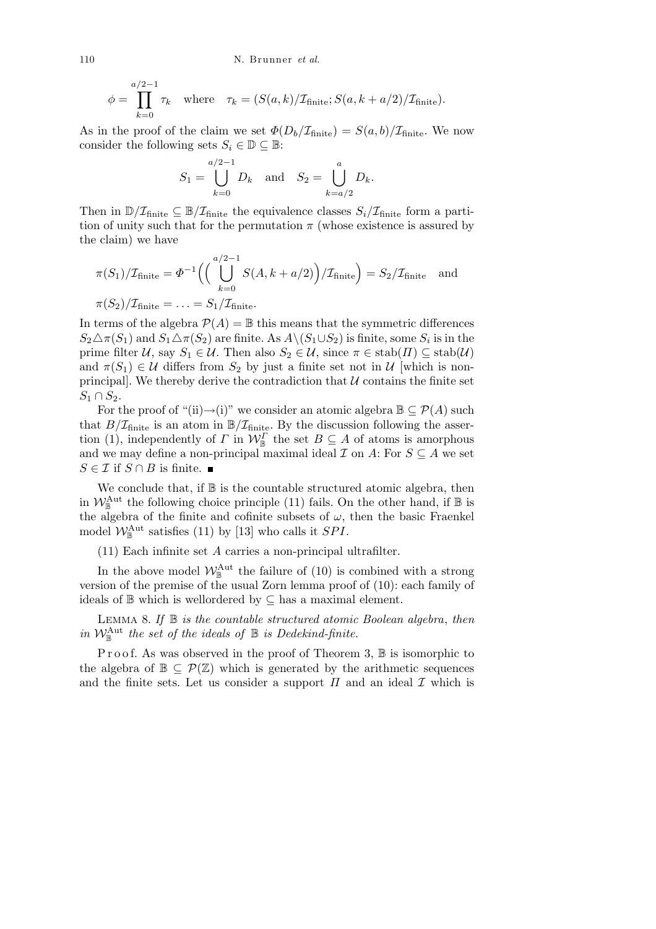$$
\phi = \prod_{k=0}^{a/2-1} \tau_k \quad \text{where} \quad \tau_k = (S(a,k)/\mathcal{I}_{\text{finite}}; S(a,k+a/2)/\mathcal{I}_{\text{finite}}).
$$

As in the proof of the claim we set  $\Phi(D_b/\mathcal{I}_{\text{finite}}) = S(a, b)/\mathcal{I}_{\text{finite}}$ . We now consider the following sets  $S_i \in \mathbb{D} \subseteq \mathbb{B}$ :

$$
S_1 = \bigcup_{k=0}^{a/2-1} D_k
$$
 and  $S_2 = \bigcup_{k=a/2}^{a} D_k$ .

Then in  $\mathbb{D}/\mathcal{I}_{\text{finite}} \subseteq \mathbb{B}/\mathcal{I}_{\text{finite}}$  the equivalence classes  $S_i/\mathcal{I}_{\text{finite}}$  form a partition of unity such that for the permutation  $\pi$  (whose existence is assured by the claim) we have

$$
\pi(S_1)/\mathcal{I}_{\text{finite}} = \Phi^{-1}\Big(\Big(\bigcup_{k=0}^{a/2-1} S(A, k+a/2)\Big)/\mathcal{I}_{\text{finite}}\Big) = S_2/\mathcal{I}_{\text{finite}} \text{ and}
$$
  

$$
\pi(S_2)/\mathcal{I}_{\text{finite}} = \dots = S_1/\mathcal{I}_{\text{finite}}.
$$

In terms of the algebra  $\mathcal{P}(A) = \mathbb{B}$  this means that the symmetric differences  $S_2 \triangle \pi(S_1)$  and  $S_1 \triangle \pi(S_2)$  are finite. As  $A \setminus (S_1 \cup S_2)$  is finite, some  $S_i$  is in the prime filter  $U$ , say  $S_1 \in U$ . Then also  $S_2 \in U$ , since  $\pi \in \text{stab}(H) \subseteq \text{stab}(U)$ and  $\pi(S_1) \in \mathcal{U}$  differs from  $S_2$  by just a finite set not in  $\mathcal{U}$  [which is nonprincipal. We thereby derive the contradiction that  $U$  contains the finite set  $S_1 ∩ S_2$ .

For the proof of "(ii) $\rightarrow$ (i)" we consider an atomic algebra  $\mathbb{B} \subseteq \mathcal{P}(A)$  such that  $B/\mathcal{I}_{\text{finite}}$  is an atom in  $\mathbb{B}/\mathcal{I}_{\text{finite}}$ . By the discussion following the assertion (1), independently of *Γ* in  $W^{\Gamma}_{\mathbb{B}}$  the set  $B \subseteq A$  of atoms is amorphous and we may define a non-principal maximal ideal  $\mathcal I$  on  $A$ : For  $S \subseteq A$  we set *S* ∈ *I* if *S* ∩ *B* is finite. ■

We conclude that, if  $\mathbb B$  is the countable structured atomic algebra, then in  $W_{\mathbb{B}}^{\text{Aut}}$  the following choice principle (11) fails. On the other hand, if  $\mathbb{B}$  is the algebra of the finite and cofinite subsets of  $\omega$ , then the basic Fraenkel model  $\mathcal{W}_{\mathbb{B}}^{\text{Aut}}$  satisfies (11) by [13] who calls it *SPI*.

(11) Each infinite set *A* carries a non-principal ultrafilter.

In the above model  $W_{\mathbb{B}}^{\text{Aut}}$  the failure of (10) is combined with a strong version of the premise of the usual Zorn lemma proof of (10): each family of ideals of B which is wellordered by *⊆* has a maximal element.

Lemma 8. *If* B *is the countable structured atomic Boolean algebra*, *then in*  $W_{\mathbb{B}}^{\text{Aut}}$  the set of the ideals of  $\mathbb{B}$  is Dedekind-finite.

Proof. As was observed in the proof of Theorem 3,  $\mathbb B$  is isomorphic to the algebra of  $\mathbb{B} \subseteq \mathcal{P}(\mathbb{Z})$  which is generated by the arithmetic sequences and the finite sets. Let us consider a support  $\Pi$  and an ideal  $\mathcal I$  which is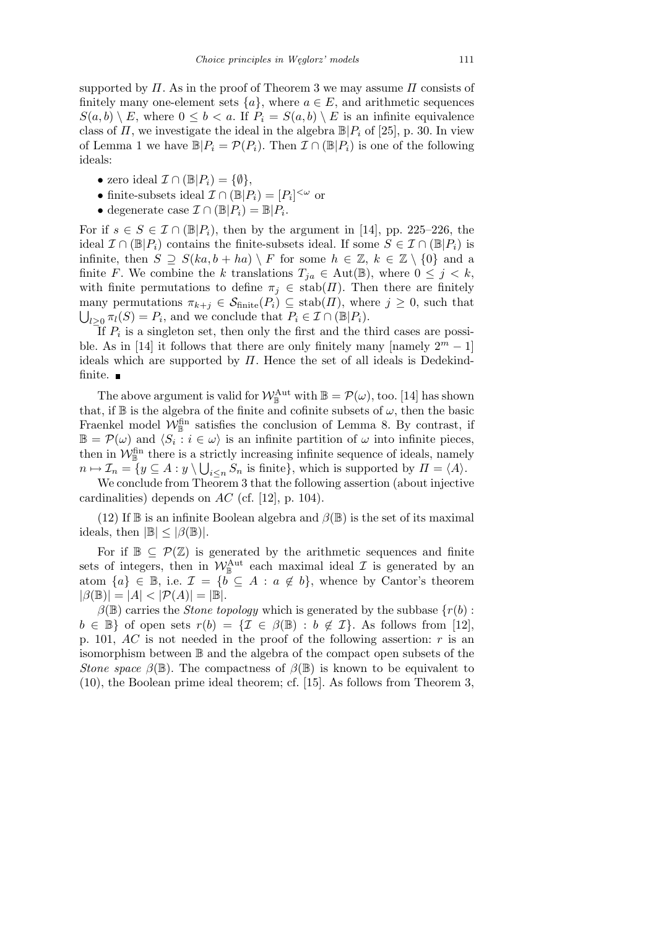supported by *Π*. As in the proof of Theorem 3 we may assume *Π* consists of finitely many one-element sets  $\{a\}$ , where  $a \in E$ , and arithmetic sequences  $S(a, b) \setminus E$ , where  $0 \leq b < a$ . If  $P_i = S(a, b) \setminus E$  is an infinite equivalence class of *Π*, we investigate the ideal in the algebra  $\mathbb{B}[P_i]$  of [25], p. 30. In view of Lemma 1 we have  $\mathbb{B}|P_i = \mathcal{P}(P_i)$ . Then  $\mathcal{I} \cap (\mathbb{B}|P_i)$  is one of the following ideals:

- *•* zero ideal  $\mathcal{I} \cap (\mathbb{B}|P_i) = \{\emptyset\},\$
- finite-subsets ideal  $\mathcal{I} \cap (\mathbb{B}|P_i) = [P_i]^{<\omega}$  or
- *•* degenerate case *I ∩* (B*|Pi*) = B*|P<sup>i</sup>* .

For if  $s \in S \in \mathcal{I} \cap (\mathbb{B}|P_i)$ , then by the argument in [14], pp. 225–226, the ideal  $\mathcal{I} \cap (\mathbb{B}|P_i)$  contains the finite-subsets ideal. If some  $S \in \mathcal{I} \cap (\mathbb{B}|P_i)$  is infinite, then  $S \supseteq S(ka, b + ha) \setminus F$  for some  $h \in \mathbb{Z}, k \in \mathbb{Z} \setminus \{0\}$  and a finite *F*. We combine the *k* translations  $T_{ja} \in \text{Aut}(\mathbb{B})$ , where  $0 \leq j \leq k$ , with finite permutations to define  $\pi_j \in \text{stab}(H)$ . Then there are finitely many permutations  $\pi_{k+j} \in \mathcal{S}_{\text{finite}}(P_i) \subseteq \text{stab}(\Pi)$ , where  $j \geq 0$ , such that  $l \geq 0$   $\pi_l(S) = P_i$ , and we conclude that  $P_i \in \mathcal{I} \cap (\mathbb{B}|P_i)$ .

If *P<sup>i</sup>* is a singleton set, then only the first and the third cases are possible. As in [14] it follows that there are only finitely many [namely  $2^m - 1$ ] ideals which are supported by *Π*. Hence the set of all ideals is Dedekindfinite.

The above argument is valid for  $W_{\mathbb{B}}^{\text{Aut}}$  with  $\mathbb{B} = \mathcal{P}(\omega)$ , too. [14] has shown that, if  $\mathbb B$  is the algebra of the finite and cofinite subsets of  $\omega$ , then the basic Fraenkel model  $\mathcal{W}_{\mathbb{B}}^{\text{fin}}$  satisfies the conclusion of Lemma 8. By contrast, if  $\mathbb{B} = \mathcal{P}(\omega)$  and  $\langle S_i : i \in \omega \rangle$  is an infinite partition of  $\omega$  into infinite pieces, then in  $W_{\mathbb{B}}^{\text{fin}}$  there is a strictly increasing infinite sequence of ideals, namely  $n \mapsto \mathcal{I}_n = \{ y \subseteq A : y \setminus \bigcup_{i \leq n} S_n \text{ is finite} \}, \text{ which is supported by } \Pi = \langle A \rangle.$ 

We conclude from Theorem 3 that the following assertion (about injective cardinalities) depends on *AC* (cf. [12], p. 104).

(12) If  $\mathbb B$  is an infinite Boolean algebra and  $\beta(\mathbb B)$  is the set of its maximal ideals, then  $|\mathbb{B}| \leq |\beta(\mathbb{B})|$ .

For if  $\mathbb{B} \subseteq \mathcal{P}(\mathbb{Z})$  is generated by the arithmetic sequences and finite sets of integers, then in  $W_{\mathbb{B}}^{\text{Aut}}$  each maximal ideal  $\mathcal I$  is generated by an atom  ${a} \in \mathbb{B}$ , i.e.  $\mathcal{I} = {b \subseteq A : a \notin b}$ , whence by Cantor's theorem  $|\beta(\mathbb{B})| = |A| < |\mathcal{P}(A)| = |\mathbb{B}|.$ 

 $\beta(\mathbb{B})$  carries the *Stone topology* which is generated by the subbase  $\{r(b):$  $b \in \mathbb{B}$ } of open sets  $r(b) = \{ \mathcal{I} \in \beta(\mathbb{B}) : b \notin \mathcal{I} \}$ . As follows from [12], p. 101, *AC* is not needed in the proof of the following assertion: *r* is an isomorphism between B and the algebra of the compact open subsets of the *Stone space*  $\beta(\mathbb{B})$ . The compactness of  $\beta(\mathbb{B})$  is known to be equivalent to (10), the Boolean prime ideal theorem; cf. [15]. As follows from Theorem 3,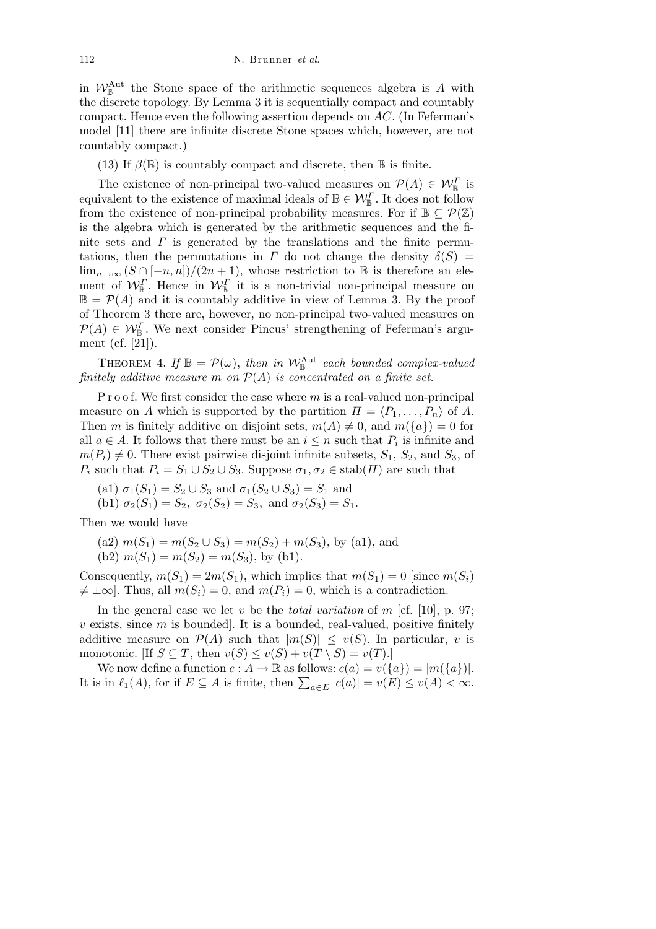in  $W_{\mathbb{B}}^{\text{Aut}}$  the Stone space of the arithmetic sequences algebra is *A* with the discrete topology. By Lemma 3 it is sequentially compact and countably compact. Hence even the following assertion depends on *AC*. (In Feferman's model [11] there are infinite discrete Stone spaces which, however, are not countably compact.)

(13) If  $\beta(\mathbb{B})$  is countably compact and discrete, then  $\mathbb B$  is finite.

The existence of non-principal two-valued measures on  $\mathcal{P}(A) \in \mathcal{W}_{\mathbb{B}}^{\Gamma}$  is equivalent to the existence of maximal ideals of  $\mathbb{B} \in \mathcal{W}_{\mathbb{B}}^{\Gamma}$ . It does not follow from the existence of non-principal probability measures. For if  $\mathbb{B} \subseteq \mathcal{P}(\mathbb{Z})$ is the algebra which is generated by the arithmetic sequences and the finite sets and  $\Gamma$  is generated by the translations and the finite permutations, then the permutations in *Γ* do not change the density  $\delta(S)$  = lim<sub>*n*→∞</sub>  $(S \cap [-n, n])/(2n + 1)$ , whose restriction to **B** is therefore an element of  $W_{\mathbb{B}}^{\Gamma}$ . Hence in  $W_{\mathbb{B}}^{\Gamma}$  it is a non-trivial non-principal measure on  $\mathbb{B} = \mathcal{P}(A)$  and it is countably additive in view of Lemma 3. By the proof of Theorem 3 there are, however, no non-principal two-valued measures on  $P(A) \in \mathcal{W}_{\mathbb{B}}^{\Gamma}$ . We next consider Pincus' strengthening of Feferman's argument (cf. [21]).

THEOREM 4. If  $\mathbb{B} = \mathcal{P}(\omega)$ , then in  $\mathcal{W}_{\mathbb{B}}^{\text{Aut}}$  each bounded complex-valued *finitely additive measure m on P*(*A*) *is concentrated on a finite set.*

P r o o f. We first consider the case where *m* is a real-valued non-principal measure on *A* which is supported by the partition  $\Pi = \langle P_1, \ldots, P_n \rangle$  of *A*. Then *m* is finitely additive on disjoint sets,  $m(A) \neq 0$ , and  $m({a}) = 0$  for all  $a \in A$ . It follows that there must be an  $i \leq n$  such that  $P_i$  is infinite and  $m(P_i) \neq 0$ . There exist pairwise disjoint infinite subsets,  $S_1$ ,  $S_2$ , and  $S_3$ , of *P*<sup>*i*</sup> such that  $P_i = S_1 \cup S_2 \cup S_3$ . Suppose  $\sigma_1, \sigma_2 \in \text{stab}(H)$  are such that

- (a1)  $\sigma_1(S_1) = S_2 \cup S_3$  and  $\sigma_1(S_2 \cup S_3) = S_1$  and
- (b1)  $\sigma_2(S_1) = S_2$ ,  $\sigma_2(S_2) = S_3$ , and  $\sigma_2(S_3) = S_1$ .

Then we would have

- $(n2)$   $m(S_1) = m(S_2 \cup S_3) = m(S_2) + m(S_3)$ , by  $(n1)$ , and
- (b2)  $m(S_1) = m(S_2) = m(S_3)$ , by (b1).

Consequently,  $m(S_1) = 2m(S_1)$ , which implies that  $m(S_1) = 0$  [since  $m(S_i)$ ]  $\neq \pm \infty$ . Thus, all  $m(S_i) = 0$ , and  $m(P_i) = 0$ , which is a contradiction.

In the general case we let *v* be the *total variation* of *m* [cf. [10], p. 97; *v* exists, since *m* is bounded]. It is a bounded, real-valued, positive finitely additive measure on  $\mathcal{P}(A)$  such that  $|m(S)| \le v(S)$ . In particular, *v* is monotonic. [If  $S \subseteq T$ , then  $v(S) \le v(S) + v(T \setminus S) = v(T)$ .]

We now define a function  $c: A \to \mathbb{R}$  as follows:  $c(a) = v({a}) = |m({a})|$ . We now define a function  $c : A \to \mathbb{R}$  as follows:  $c(a) = v(\lbrace a \rbrace) = |m(\lbrace a \rbrace)|$ .<br>It is in  $\ell_1(A)$ , for if  $E \subseteq A$  is finite, then  $\sum_{a \in E} |c(a)| = v(E) \le v(A) < \infty$ .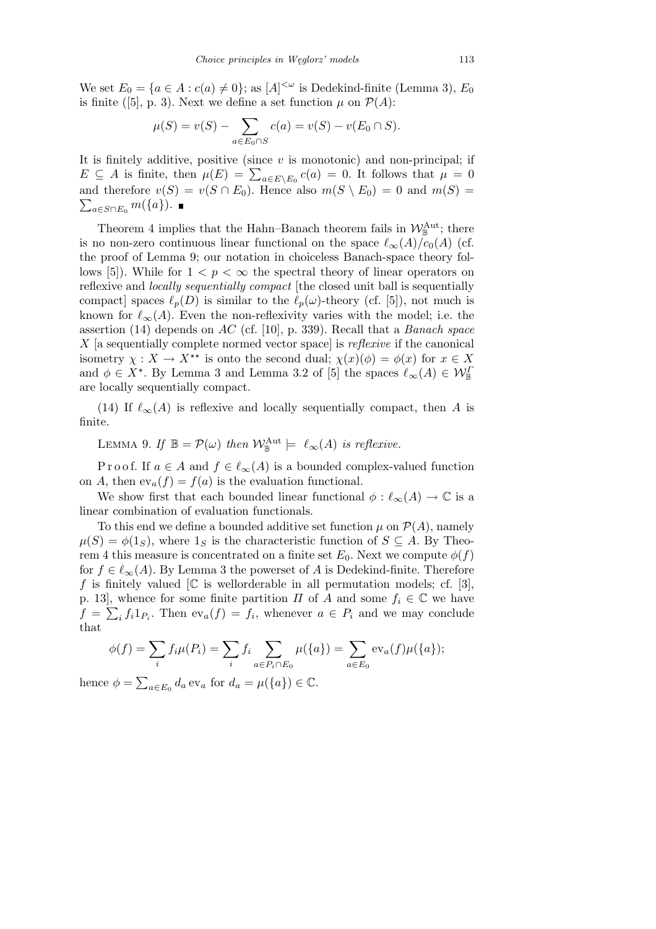We set  $E_0 = {a \in A : c(a) \neq 0}$ ; as  $[A]^{<\omega}$  is Dedekind-finite (Lemma 3),  $E_0$ is finite ([5], p. 3). Next we define a set function  $\mu$  on  $\mathcal{P}(A)$ :

$$
\mu(S) = v(S) - \sum_{a \in E_0 \cap S} c(a) = v(S) - v(E_0 \cap S).
$$

It is finitely additive, positive (since *v* is monotonic) and non-principal; if *E*  $\subseteq$  *A* is finite, then  $\mu(E) = \sum_{a \in E \setminus E_0} c(a) = 0$ . It follows that  $\mu = 0$ and therefore  $v(S) = v(S \cap E_0)$ . Hence also  $m(S \setminus E_0) = 0$  and  $m(S) = \sum_{i=1}^{n} v(i)$  $\sum_{a \in S \cap E_0} m(\lbrace a \rbrace)$ . ■

Theorem 4 implies that the Hahn–Banach theorem fails in  $\mathcal{W}_{\mathbb{B}}^{\text{Aut}}$ ; there is no non-zero continuous linear functional on the space  $\ell_{\infty}(A)/c_0(A)$  (cf. the proof of Lemma 9; our notation in choiceless Banach-space theory follows [5]). While for  $1 < p < \infty$  the spectral theory of linear operators on reflexive and *locally sequentially compact* [the closed unit ball is sequentially compact] spaces  $\ell_p(D)$  is similar to the  $\ell_p(\omega)$ -theory (cf. [5]), not much is known for  $\ell_{\infty}(A)$ . Even the non-reflexivity varies with the model; i.e. the assertion (14) depends on *AC* (cf. [10], p. 339). Recall that a *Banach space X* [a sequentially complete normed vector space] is *reflexive* if the canonical isometry  $\chi : X \to X^{**}$  is onto the second dual;  $\chi(x)(\phi) = \phi(x)$  for  $x \in X$ and  $\phi \in X^*$ . By Lemma 3 and Lemma 3.2 of [5] the spaces  $\ell_{\infty}(A) \in \mathcal{W}_{\mathbb{B}}^I$ are locally sequentially compact.

(14) If  $\ell_{\infty}(A)$  is reflexive and locally sequentially compact, then *A* is finite.

LEMMA 9. *If*  $\mathbb{B} = \mathcal{P}(\omega)$  *then*  $\mathcal{W}_{\mathbb{B}}^{\text{Aut}} \models \ell_{\infty}(A)$  *is reflexive.* 

P r o o f. If  $a \in A$  and  $f \in \ell_{\infty}(A)$  is a bounded complex-valued function on *A*, then  $ev_a(f) = f(a)$  is the evaluation functional.

We show first that each bounded linear functional  $\phi : \ell_{\infty}(A) \to \mathbb{C}$  is a linear combination of evaluation functionals.

To this end we define a bounded additive set function  $\mu$  on  $\mathcal{P}(A)$ , namely  $\mu(S) = \phi(1_S)$ , where  $1_S$  is the characteristic function of  $S \subseteq A$ . By Theorem 4 this measure is concentrated on a finite set  $E_0$ . Next we compute  $\phi(f)$ for  $f \in \ell_{\infty}(A)$ . By Lemma 3 the powerset of *A* is Dedekind-finite. Therefore f is finitely valued  $\mathbb{C}$  is wellorderable in all permutation models; cf. [3], p. 13], whence for some finite partition *Π* of *A* and some  $f_i \in \mathbb{C}$  we have  $f = \sum_i f_i 1_{P_i}$ . Then  $ev_a(f) = f_i$ , whenever  $a \in P_i$  and we may conclude that

$$
\phi(f) = \sum_{i} f_i \mu(P_i) = \sum_{i} f_i \sum_{a \in P_i \cap E_0} \mu(\{a\}) = \sum_{a \in E_0} \text{ev}_a(f) \mu(\{a\});
$$

hence  $\phi =$  $a \in E_0$   $d_a$  ev<sub>a</sub> for  $d_a = \mu(\lbrace a \rbrace) \in \mathbb{C}$ .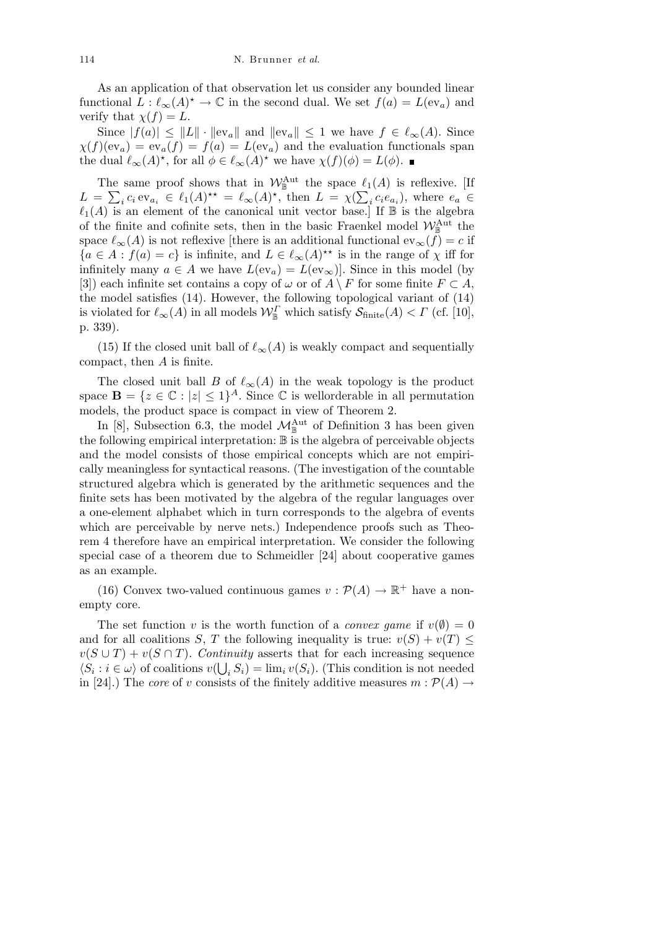As an application of that observation let us consider any bounded linear functional  $L: \ell_{\infty}(A)^{\star} \to \mathbb{C}$  in the second dual. We set  $f(a) = L(\text{ev}_a)$  and verify that  $\chi(f) = L$ .

Since  $|f(a)| \leq ||L|| \cdot ||ev_a||$  and  $||ev_a|| \leq 1$  we have  $f \in \ell_\infty(A)$ . Since  $\chi(f)(ev_a) = ev_a(f) = f(a) = L(ev_a)$  and the evaluation functionals span the dual  $\ell_{\infty}(A)^{*}$ , for all  $\phi \in \ell_{\infty}(A)^{*}$  we have  $\chi(f)(\phi) = L(\phi)$ .

The same proof shows that in  $W_{\mathbb{B}}^{\text{Aut}}$  the space  $\ell_1(A)$  is reflexive. [If  $L = \sum_i c_i e v_{a_i} \in \ell_1(A)^{\star \star} = \ell_\infty(A)^{\star}$ , then  $L = \chi(\sum_i c_i e_{a_i})$ , where  $e_a \in$  $\ell_1(A)$  is an element of the canonical unit vector base.] If  $\mathbb B$  is the algebra of the finite and cofinite sets, then in the basic Fraenkel model  $\mathcal{W}_{\mathbb{B}}^{\text{Aut}}$  the space  $\ell_{\infty}(A)$  is not reflexive [there is an additional functional ev<sub>∞</sub>(*f*) = *c* if  ${a \in A : f(a) = c}$  is infinite, and  $L \in \ell_\infty(A)$ <sup>\*\*</sup> is in the range of  $\chi$  iff for infinitely many  $a \in A$  we have  $L(\mathrm{ev}_a) = L(\mathrm{ev}_\infty)$ . Since in this model (by [3]) each infinite set contains a copy of  $\omega$  or of  $A \setminus F$  for some finite  $F \subset A$ , the model satisfies (14). However, the following topological variant of (14) is violated for  $\ell_{\infty}(A)$  in all models  $\mathcal{W}_{\mathbb{B}}^{\Gamma}$  which satisfy  $\mathcal{S}_{\text{finite}}(A) < \Gamma$  (cf. [10], p. 339).

(15) If the closed unit ball of  $\ell_{\infty}(A)$  is weakly compact and sequentially compact, then *A* is finite.

The closed unit ball *B* of  $\ell_{\infty}(A)$  in the weak topology is the product space  $\mathbf{B} = \{z \in \mathbb{C} : |z| \leq 1\}^A$ . Since  $\mathbb{C}$  is wellorderable in all permutation models, the product space is compact in view of Theorem 2.

In [8], Subsection 6.3, the model  $\mathcal{M}_{\mathbb{B}}^{\text{Aut}}$  of Definition 3 has been given the following empirical interpretation: B is the algebra of perceivable objects and the model consists of those empirical concepts which are not empirically meaningless for syntactical reasons. (The investigation of the countable structured algebra which is generated by the arithmetic sequences and the finite sets has been motivated by the algebra of the regular languages over a one-element alphabet which in turn corresponds to the algebra of events which are perceivable by nerve nets.) Independence proofs such as Theorem 4 therefore have an empirical interpretation. We consider the following special case of a theorem due to Schmeidler [24] about cooperative games as an example.

(16) Convex two-valued continuous games  $v : \mathcal{P}(A) \to \mathbb{R}^+$  have a nonempty core.

The set function *v* is the worth function of a *convex game* if  $v(\emptyset) = 0$ and for all coalitions *S*, *T* the following inequality is true:  $v(S) + v(T) \leq$  $v(S \cup T) + v(S \cap T)$ . *Continuity* asserts that for each increasing sequence  $\langle S_i : i \in \omega \rangle$  of coalitions  $v(\bigcup_i S_i) = \lim_i v(S_i)$ . (This condition is not needed in [24].) The *core* of *v* consists of the finitely additive measures  $m : \mathcal{P}(A) \rightarrow$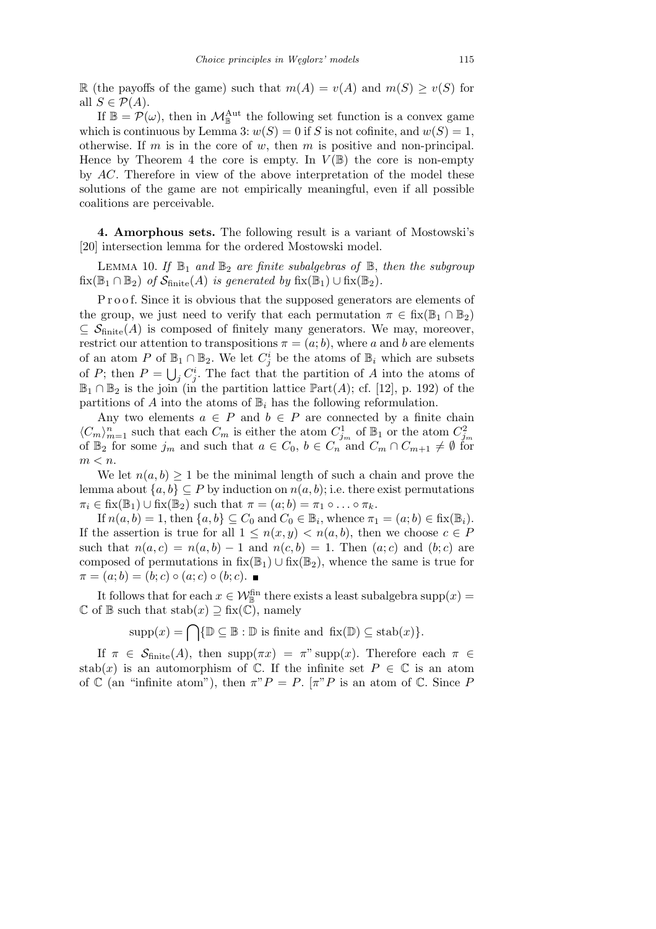R (the payoffs of the game) such that  $m(A) = v(A)$  and  $m(S) \ge v(S)$  for all  $S \in \mathcal{P}(A)$ .

If  $\mathbb{B} = \mathcal{P}(\omega)$ , then in  $\mathcal{M}_{\mathbb{B}}^{\text{Aut}}$  the following set function is a convex game which is continuous by Lemma 3:  $w(S) = 0$  if *S* is not cofinite, and  $w(S) = 1$ , otherwise. If *m* is in the core of *w*, then *m* is positive and non-principal. Hence by Theorem 4 the core is empty. In  $V(\mathbb{B})$  the core is non-empty by *AC*. Therefore in view of the above interpretation of the model these solutions of the game are not empirically meaningful, even if all possible coalitions are perceivable.

**4. Amorphous sets.** The following result is a variant of Mostowski's [20] intersection lemma for the ordered Mostowski model.

LEMMA 10. If  $\mathbb{B}_1$  and  $\mathbb{B}_2$  are finite subalgebras of  $\mathbb{B}$ , then the subgroup  $fix(\mathbb{B}_1 \cap \mathbb{B}_2)$  *of*  $\mathcal{S}_{\text{finite}}(A)$  *is generated by*  $fix(\mathbb{B}_1) \cup fix(\mathbb{B}_2)$ *.* 

Proof. Since it is obvious that the supposed generators are elements of the group, we just need to verify that each permutation  $\pi \in \text{fix}(\mathbb{B}_1 \cap \mathbb{B}_2)$  $\subseteq$  S<sub>finite</sub>(A) is composed of finitely many generators. We may, moreover, restrict our attention to transpositions  $\pi = (a, b)$ , where *a* and *b* are elements of an atom *P* of  $\mathbb{B}_1 \cap \mathbb{B}_2$ . We let  $C_j^i$  be the atoms of  $\mathbb{B}_i$  which are subsets of *P*; then  $P = \bigcup_j C_j^i$ . The fact that the partition of *A* into the atoms of  $\mathbb{B}_1 \cap \mathbb{B}_2$  is the join (in the partition lattice  $\mathbb{P}art(A)$ ; cf. [12], p. 192) of the partitions of  $A$  into the atoms of  $\mathbb{B}_i$  has the following reformulation.

Any two elements  $a \in P$  and  $b \in P$  are connected by a finite chain  $\langle C_m \rangle_{m=1}^n$  such that each  $C_m$  is either the atom  $C_{j_m}^1$  of  $\mathbb{B}_1$  or the atom  $C_{j_m}^2$ <br>of  $\mathbb{B}_2$  for some  $j_m$  and such that  $a \in C_0$ ,  $b \in C_n$  and  $C_m \cap C_{m+1} \neq \emptyset$  for *m < n*.

We let  $n(a, b) \geq 1$  be the minimal length of such a chain and prove the lemma about  $\{a, b\} \subset P$  by induction on  $n(a, b)$ ; i.e. there exist permutations  $\pi_i \in$  fix( $\mathbb{B}_1$ )  $\cup$  fix( $\mathbb{B}_2$ ) such that  $\pi = (a; b) = \pi_1 \circ \dots \circ \pi_k$ .

If  $n(a, b) = 1$ , then  $\{a, b\} \subseteq C_0$  and  $C_0 \in \mathbb{B}_i$ , whence  $\pi_1 = (a, b) \in \text{fix}(\mathbb{B}_i)$ . If the assertion is true for all  $1 \leq n(x, y) < n(a, b)$ , then we choose  $c \in P$ such that  $n(a, c) = n(a, b) - 1$  and  $n(c, b) = 1$ . Then  $(a, c)$  and  $(b, c)$  are composed of permutations in  $fix(\mathbb{B}_1) \cup fix(\mathbb{B}_2)$ , whence the same is true for  $\pi = (a; b) = (b; c) \circ (a; c) \circ (b; c).$ 

It follows that for each  $x \in \mathcal{W}_{\mathbb{B}}^{\text{fin}}$  there exists a least subalgebra supp $(x) =$  $\mathbb C$  of  $\mathbb B$  such that  $stab(x) \supseteq fix(\mathbb C)$ , namely

 $\supp(x) = \bigcap \{ \mathbb{D} \subseteq \mathbb{B} : \mathbb{D} \text{ is finite and } \operatorname{fix}(\mathbb{D}) \subseteq \operatorname{stab}(x) \}.$ 

If  $\pi \in S_{\text{finite}}(A)$ , then supp $(\pi x) = \pi$ " supp $(x)$ . Therefore each  $\pi \in$ stab(x) is an automorphism of  $\mathbb{C}$ . If the infinite set  $P \in \mathbb{C}$  is an atom of  $\mathbb C$  (an "infinite atom"), then  $\pi P = P$ .  $\pi P$  is an atom of  $\mathbb C$ . Since P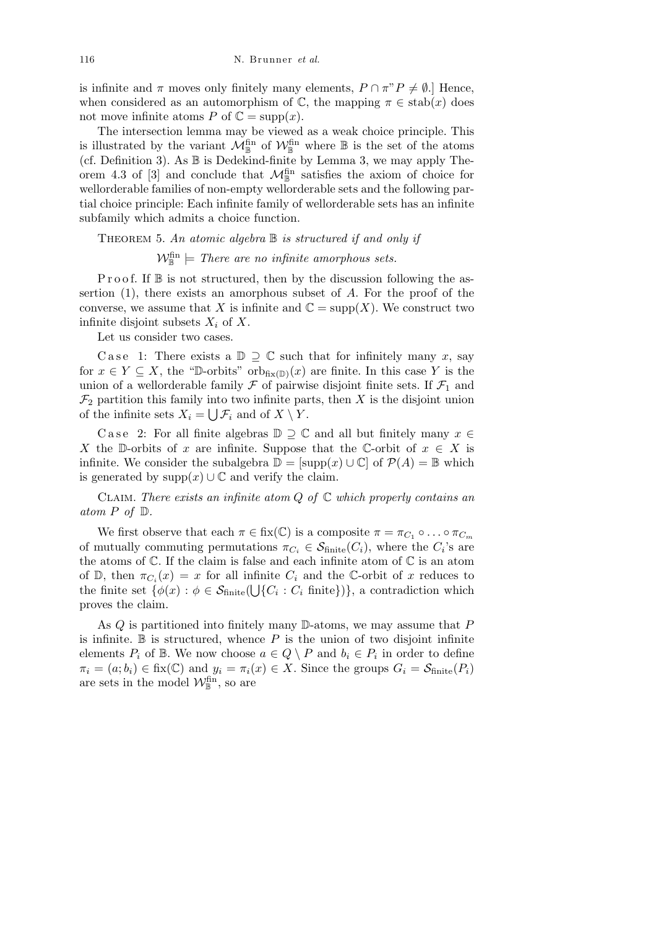is infinite and  $\pi$  moves only finitely many elements,  $P \cap \pi P \neq \emptyset$ .] Hence, when considered as an automorphism of  $\mathbb{C}$ , the mapping  $\pi \in \text{stab}(x)$  does not move infinite atoms *P* of  $\mathbb{C} = \text{supp}(x)$ .

The intersection lemma may be viewed as a weak choice principle. This is illustrated by the variant  $\mathcal{M}_{\mathbb{B}}^{\text{fin}}$  of  $\mathcal{W}_{\mathbb{B}}^{\text{fin}}$  where  $\mathbb B$  is the set of the atoms (cf. Definition 3). As  $\mathbb B$  is Dedekind-finite by Lemma 3, we may apply Theorem 4.3 of  $[3]$  and conclude that  $\mathcal{M}_{\mathbb{B}}^{\text{fin}}$  satisfies the axiom of choice for wellorderable families of non-empty wellorderable sets and the following partial choice principle: Each infinite family of wellorderable sets has an infinite subfamily which admits a choice function.

Theorem 5. *An atomic algebra* B *is structured if and only if*

 $\mathcal{W}_{\mathbb{B}}^{\text{fin}} \models$  *There are no infinite amorphous sets.* 

P r o o f. If  $\mathbb B$  is not structured, then by the discussion following the assertion (1), there exists an amorphous subset of *A*. For the proof of the converse, we assume that *X* is infinite and  $\mathbb{C} = \text{supp}(X)$ . We construct two infinite disjoint subsets *X<sup>i</sup>* of *X*.

Let us consider two cases.

Case 1: There exists a  $\mathbb{D} \supseteq \mathbb{C}$  such that for infinitely many *x*, say for  $x \in Y \subseteq X$ , the "D-orbits" orb<sub>fix(D)</sub>(x) are finite. In this case Y is the union of a wellorderable family  $\mathcal F$  of pairwise disjoint finite sets. If  $\mathcal F_1$  and  $\mathcal{F}_2$  partition this family into two infinite parts, then *X* is the disjoint union of the infinite sets  $X_i = \bigcup \mathcal{F}_i$  and of  $X \setminus Y$ .

Case 2: For all finite algebras  $\mathbb{D} \supseteq \mathbb{C}$  and all but finitely many  $x \in$ *X* the D-orbits of *x* are infinite. Suppose that the C-orbit of  $x \in X$  is infinite. We consider the subalgebra  $\mathbb{D} = [\text{supp}(x) \cup \mathbb{C}]$  of  $\mathcal{P}(A) = \mathbb{B}$  which is generated by supp $(x)$   $\cup$   $\mathbb{C}$  and verify the claim.

Claim. *There exists an infinite atom Q of* C *which properly contains an atom*  $P$  *of*  $D$ *.* 

We first observe that each  $\pi \in \text{fix}(\mathbb{C})$  is a composite  $\pi = \pi_{C_1} \circ \ldots \circ \pi_{C_m}$ of mutually commuting permutations  $\pi_{C_i} \in \mathcal{S}_{\text{finite}}(C_i)$ , where the  $C_i$ 's are the atoms of  $\mathbb C$ . If the claim is false and each infinite atom of  $\mathbb C$  is an atom of  $\mathbb{D}$ , then  $\pi_{C_i}(x) = x$  for all infinite  $C_i$  and the C-orbit of *x* reduces to the finite set  $\{\phi(x) : \phi \in \mathcal{S}_{\text{finite}}(\bigcup \{C_i : C_i \text{ finite}\})\}\$ , a contradiction which proves the claim.

As *Q* is partitioned into finitely many D-atoms, we may assume that *P* is infinite.  $\mathbb B$  is structured, whence  $P$  is the union of two disjoint infinite elements  $P_i$  of  $\mathbb{B}$ . We now choose  $a \in Q \setminus P$  and  $b_i \in P_i$  in order to define  $\pi_i = (a; b_i) \in \text{fix}(\mathbb{C})$  and  $y_i = \pi_i(x) \in X$ . Since the groups  $G_i = \mathcal{S}_{\text{finite}}(P_i)$ are sets in the model  $\mathcal{W}_{\mathbb{B}}^{\text{fin}}$ , so are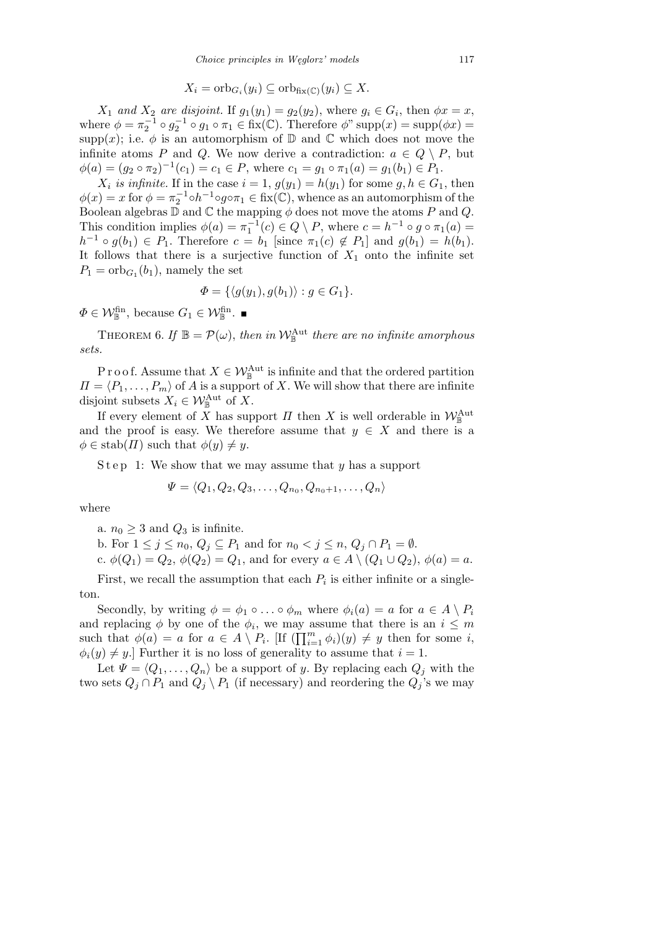$$
X_i = \mathrm{orb}_{G_i}(y_i) \subseteq \mathrm{orb}_{\mathrm{fix}(\mathbb{C})}(y_i) \subseteq X.
$$

*X*<sub>1</sub> *and X*<sub>2</sub> *are disjoint.* If  $g_1(y_1) = g_2(y_2)$ , where  $g_i \in G_i$ , then  $\phi x = x$ , where  $\phi = \pi_2^{-1} \circ g_2^{-1} \circ g_1 \circ \pi_1 \in \text{fix}(\mathbb{C})$ . Therefore  $\phi$ " supp $(x) = \text{supp}(\phi x) =$ supp(x); i.e.  $\phi$  is an automorphism of  $\mathbb D$  and  $\mathbb C$  which does not move the infinite atoms *P* and *Q*. We now derive a contradiction:  $a \in Q \setminus P$ , but  $\phi(a) = (g_2 \circ \pi_2)^{-1}(c_1) = c_1 \in P$ , where  $c_1 = g_1 \circ \pi_1(a) = g_1(b_1) \in P_1$ .

*X*<sub>i</sub> is infinite. If in the case  $i = 1$ ,  $g(y_1) = h(y_1)$  for some  $g, h \in G_1$ , then  $\phi(x) = x$  for  $\phi = \pi_2^{-1} \circ h^{-1} \circ g \circ \pi_1 \in \text{fix}(\mathbb{C})$ , whence as an automorphism of the Boolean algebras  $\mathbb D$  and  $\mathbb C$  the mapping  $\phi$  does not move the atoms  $P$  and  $Q$ . This condition implies  $\phi(a) = \pi_1^{-1}(c) \in Q \setminus P$ , where  $c = h^{-1} \circ g \circ \pi_1(a) =$ *h*<sup>-1</sup> ◦ *g*(*b*<sub>1</sub>) ∈ *P*<sub>1</sub>. Therefore *c* = *b*<sub>1</sub> [since  $\pi_1(c) \notin P_1$ ] and  $g(b_1) = h(b_1)$ . It follows that there is a surjective function of  $X_1$  onto the infinite set  $P_1 = \mathrm{orb}_{G_1}(b_1)$ , namely the set

$$
\Phi = \{ \langle g(y_1), g(b_1) \rangle : g \in G_1 \}.
$$

 $\Phi \in \mathcal{W}_{\mathbb{B}}^{\text{fin}}, \text{ because } G_1 \in \mathcal{W}_{\mathbb{B}}^{\text{fin}}.$ 

THEOREM 6. If  $\mathbb{B} = \mathcal{P}(\omega)$ , then in  $\mathcal{W}_{\mathbb{B}}^{\text{Aut}}$  there are no infinite amorphous *sets.*

P r o o f. Assume that  $X \in \mathcal{W}_{\mathbb{B}}^{\text{Aut}}$  is infinite and that the ordered partition  $\Pi = \langle P_1, \ldots, P_m \rangle$  of *A* is a support of *X*. We will show that there are infinite disjoint subsets  $X_i \in \mathcal{W}_{\mathbb{B}}^{\text{Aut}}$  of X.

If every element of *X* has support *Π* then *X* is well orderable in  $W_{\mathbb{B}}^{\text{Aut}}$ and the proof is easy. We therefore assume that  $y \in X$  and there is a  $\phi \in \text{stab}(H)$  such that  $\phi(y) \neq y$ .

Step 1: We show that we may assume that *y* has a support

$$
\Psi = \langle Q_1, Q_2, Q_3, \dots, Q_{n_0}, Q_{n_0+1}, \dots, Q_n \rangle
$$

where

a.  $n_0 \geq 3$  and  $Q_3$  is infinite.

b. For  $1 \leq j \leq n_0, Q_j \subseteq P_1$  and for  $n_0 < j \leq n, Q_j \cap P_1 = ∅$ .

c.  $\phi(Q_1) = Q_2, \ \phi(Q_2) = Q_1$ , and for every  $a \in A \setminus (Q_1 \cup Q_2), \ \phi(a) = a$ .

First, we recall the assumption that each  $P_i$  is either infinite or a singleton.

Secondly, by writing  $\phi = \phi_1 \circ \ldots \circ \phi_m$  where  $\phi_i(a) = a$  for  $a \in A \setminus P_i$ and replacing  $\phi$  by one of the  $\phi_i$ , we may assume that there is an  $i \leq m$ such that  $\phi(a) = a$  for  $a \in A \setminus P_i$ . [If  $(\prod_{i=1}^m \phi_i)(y) \neq y$  then for some *i*,  $\phi_i(y) \neq y$ .] Further it is no loss of generality to assume that  $i = 1$ .

Let  $\Psi = \langle Q_1, \ldots, Q_n \rangle$  be a support of *y*. By replacing each  $Q_j$  with the two sets  $Q_j \cap P_1$  and  $Q_j \setminus P_1$  (if necessary) and reordering the  $Q_j$ 's we may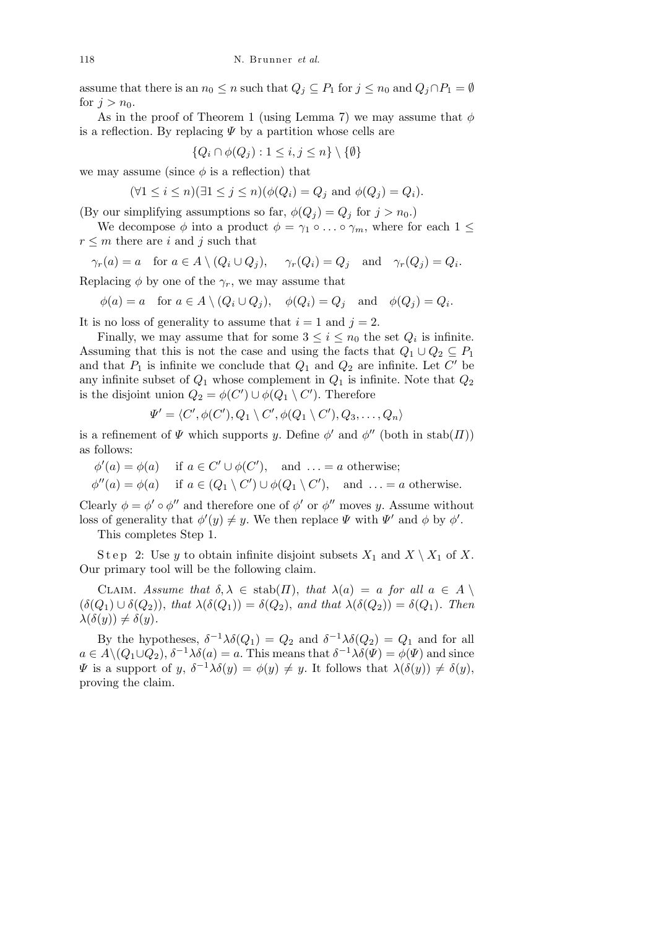assume that there is an  $n_0 \leq n$  such that  $Q_j \subseteq P_1$  for  $j \leq n_0$  and  $Q_j \cap P_1 = \emptyset$ for  $j > n_0$ .

As in the proof of Theorem 1 (using Lemma 7) we may assume that *φ* is a reflection. By replacing *Ψ* by a partition whose cells are

$$
\{Q_i \cap \phi(Q_j) : 1 \le i, j \le n\} \setminus \{\emptyset\}
$$

we may assume (since  $\phi$  is a reflection) that

$$
(\forall 1 \le i \le n)(\exists 1 \le j \le n)(\phi(Q_i) = Q_j \text{ and } \phi(Q_j) = Q_i).
$$

(By our simplifying assumptions so far,  $\phi(Q_i) = Q_i$  for  $j > n_0$ .)

We decompose  $\phi$  into a product  $\phi = \gamma_1 \circ \dots \circ \gamma_m$ , where for each  $1 \leq$  $r \leq m$  there are *i* and *j* such that

 $\gamma_r(a) = a$  for  $a \in A \setminus (Q_i \cup Q_j)$ ,  $\gamma_r(Q_i) = Q_j$  and  $\gamma_r(Q_j) = Q_i$ .

Replacing  $\phi$  by one of the  $\gamma_r$ , we may assume that

 $\phi(a) = a$  for  $a \in A \setminus (Q_i \cup Q_j)$ ,  $\phi(Q_i) = Q_j$  and  $\phi(Q_j) = Q_i$ .

It is no loss of generality to assume that  $i = 1$  and  $j = 2$ .

Finally, we may assume that for some  $3 \leq i \leq n_0$  the set  $Q_i$  is infinite. Assuming that this is not the case and using the facts that  $Q_1 \cup Q_2 \subseteq P_1$ and that  $P_1$  is infinite we conclude that  $Q_1$  and  $Q_2$  are infinite. Let  $C'$  be any infinite subset of  $Q_1$  whose complement in  $Q_1$  is infinite. Note that  $Q_2$ is the disjoint union  $Q_2 = \phi(C') \cup \phi(Q_1 \setminus C')$ . Therefore

$$
\Psi' = \langle C', \phi(C'), Q_1 \setminus C', \phi(Q_1 \setminus C'), Q_3, \ldots, Q_n \rangle
$$

is a refinement of  $\Psi$  which supports *y*. Define  $\phi'$  and  $\phi''$  (both in stab(*Π*)) as follows:

 $\phi'(a) = \phi(a)$  if  $a \in C' \cup \phi(C')$ , and  $\dots = a$  otherwise;

 $\phi''(a) = \phi(a)$  if  $a \in (Q_1 \setminus C') \cup \phi(Q_1 \setminus C')$ , and  $\dots = a$  otherwise.

Clearly  $\phi = \phi' \circ \phi''$  and therefore one of  $\phi'$  or  $\phi''$  moves *y*. Assume without loss of generality that  $\phi'(y) \neq y$ . We then replace  $\Psi$  with  $\Psi'$  and  $\phi$  by  $\phi'$ .

This completes Step 1.

Step 2: Use *y* to obtain infinite disjoint subsets  $X_1$  and  $X \setminus X_1$  of  $X$ . Our primary tool will be the following claim.

CLAIM. Assume that  $\delta, \lambda \in \text{stab}(\Pi)$ , that  $\lambda(a) = a$  for all  $a \in A \setminus \mathcal{A}$  $(\delta(Q_1) \cup \delta(Q_2))$ , *that*  $\lambda(\delta(Q_1)) = \delta(Q_2)$ , *and that*  $\lambda(\delta(Q_2)) = \delta(Q_1)$ *. Then*  $\lambda(\delta(y)) \neq \delta(y)$ .

By the hypotheses,  $\delta^{-1}\lambda\delta(Q_1) = Q_2$  and  $\delta^{-1}\lambda\delta(Q_2) = Q_1$  and for all  $a \in A \setminus (Q_1 \cup Q_2), \delta^{-1} \lambda \delta(a) = a$ . This means that  $\delta^{-1} \lambda \delta(\Psi) = \phi(\Psi)$  and since  $\Psi$  is a support of *y*,  $\delta^{-1}\lambda\delta(y) = \phi(y) \neq y$ . It follows that  $\lambda(\delta(y)) \neq \delta(y)$ , proving the claim.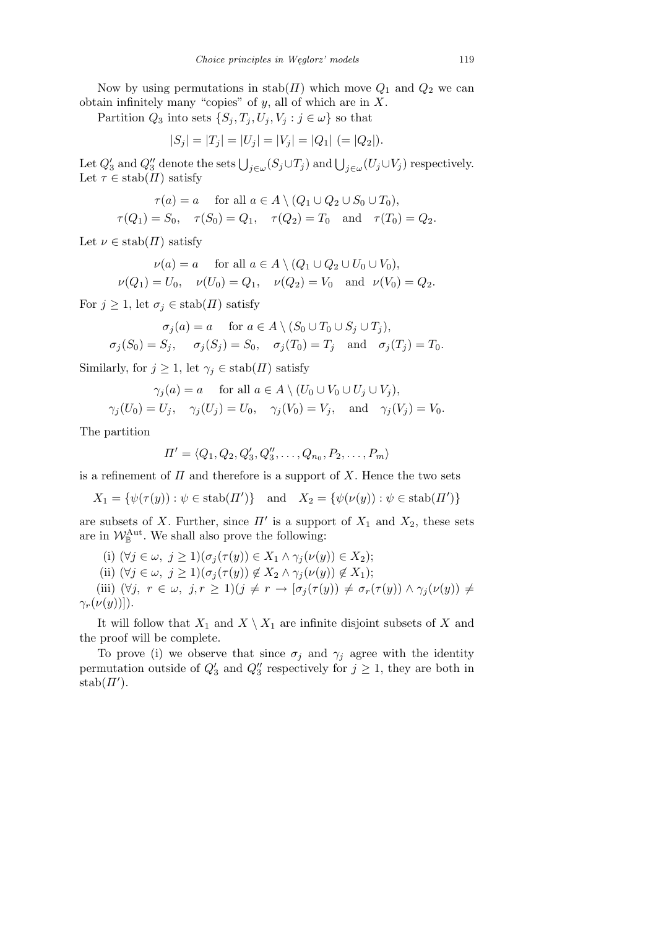Now by using permutations in  $stab(\Pi)$  which move  $Q_1$  and  $Q_2$  we can obtain infinitely many "copies" of *y*, all of which are in *X*.

Partition  $Q_3$  into sets  $\{S_j, T_j, U_j, V_j : j \in \omega\}$  so that

$$
|S_j| = |T_j| = |U_j| = |V_j| = |Q_1| \ ( = |Q_2|).
$$

Let  $Q'_3$  and  $Q''_3$  denote the sets  $\bigcup_{j \in \omega} (S_j \cup T_j)$  and  $\bigcup_{j \in \omega} (U_j \cup V_j)$  respectively. Let  $\tau \in \text{stab}(H)$  satisfy

$$
\tau(a) = a \quad \text{ for all } a \in A \setminus (Q_1 \cup Q_2 \cup S_0 \cup T_0),
$$

$$
\tau(Q_1) = S_0, \quad \tau(S_0) = Q_1, \quad \tau(Q_2) = T_0 \text{ and } \tau(T_0) = Q_2.
$$

Let  $\nu \in \text{stab}(H)$  satisfy

$$
\nu(a) = a \quad \text{for all } a \in A \setminus (Q_1 \cup Q_2 \cup U_0 \cup V_0),
$$
  

$$
\nu(Q_1) = U_0, \quad \nu(U_0) = Q_1, \quad \nu(Q_2) = V_0 \quad \text{and} \quad \nu(V_0) = Q_2.
$$

For  $j \geq 1$ , let  $\sigma_j \in \text{stab}(H)$  satisfy

$$
\sigma_j(a) = a \quad \text{for } a \in A \setminus (S_0 \cup T_0 \cup S_j \cup T_j),
$$
  

$$
\sigma_j(S_0) = S_j, \quad \sigma_j(S_j) = S_0, \quad \sigma_j(T_0) = T_j \quad \text{and} \quad \sigma_j(T_j) = T_0.
$$

Similarly, for  $j \geq 1$ , let  $\gamma_j \in \text{stab}(H)$  satisfy

$$
\gamma_j(a) = a \quad \text{for all } a \in A \setminus (U_0 \cup V_0 \cup U_j \cup V_j),
$$
  

$$
\gamma_j(U_0) = U_j, \quad \gamma_j(U_j) = U_0, \quad \gamma_j(V_0) = V_j, \quad \text{and} \quad \gamma_j(V_j) = V_0.
$$

The partition

$$
\Pi' = \langle Q_1, Q_2, Q'_3, Q''_3, \dots, Q_{n_0}, P_2, \dots, P_m \rangle
$$

is a refinement of  $\Pi$  and therefore is a support of  $X$ . Hence the two sets

*X*<sub>1</sub> = { $\psi(\tau(y)) : \psi \in \text{stab}(H')$ } and  $X_2 = {\psi(\nu(y)) : \psi \in \text{stab}(H')}$ 

are subsets of *X*. Further, since  $\Pi'$  is a support of  $X_1$  and  $X_2$ , these sets are in  $\mathcal{W}_{\mathbb{B}}^{\text{Aut}}$ . We shall also prove the following:

(i) 
$$
(\forall j \in \omega, j \ge 1)(\sigma_j(\tau(y)) \in X_1 \land \gamma_j(\nu(y)) \in X_2);
$$
  
\n(ii)  $(\forall j \in \omega, j \ge 1)(\sigma_j(\tau(y)) \notin X_2 \land \gamma_j(\nu(y)) \notin X_1);$   
\n(iii)  $(\forall j, r \in \omega, j, r \ge 1)(j \ne r \rightarrow [\sigma_j(\tau(y)) \ne \sigma_r(\tau(y)) \land \gamma_j(\nu(y)) \ne \gamma_r(\nu(y))]).$ 

It will follow that  $X_1$  and  $X \setminus X_1$  are infinite disjoint subsets of  $X$  and the proof will be complete.

To prove (i) we observe that since  $\sigma_j$  and  $\gamma_j$  agree with the identity permutation outside of  $Q'_3$  and  $Q''_3$  respectively for  $j \geq 1$ , they are both in  $stab(\Pi').$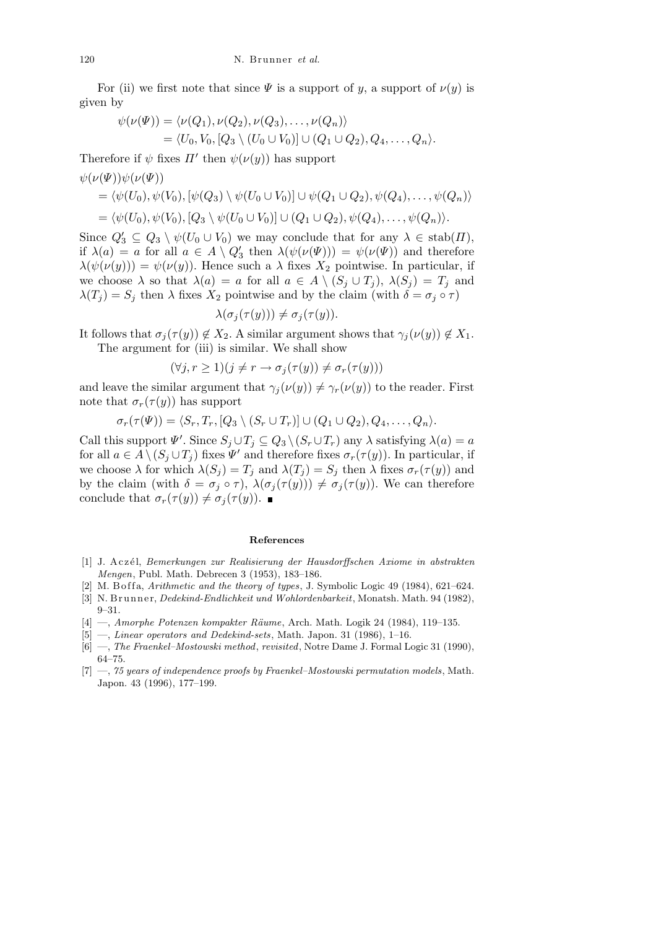For (ii) we first note that since  $\Psi$  is a support of *y*, a support of  $\nu(y)$  is given by

$$
\psi(\nu(\Psi)) = \langle \nu(Q_1), \nu(Q_2), \nu(Q_3), \dots, \nu(Q_n) \rangle
$$
  
=  $\langle U_0, V_0, [Q_3 \setminus (U_0 \cup V_0)] \cup (Q_1 \cup Q_2), Q_4, \dots, Q_n \rangle.$ 

Therefore if  $\psi$  fixes  $\Pi'$  then  $\psi(\nu(y))$  has support

$$
\psi(\nu(\Psi))\psi(\nu(\Psi))
$$
  
=  $\langle \psi(U_0), \psi(V_0), [\psi(Q_3) \setminus \psi(U_0 \cup V_0)] \cup \psi(Q_1 \cup Q_2), \psi(Q_4), \dots, \psi(Q_n) \rangle$   
=  $\langle \psi(U_0), \psi(V_0), [Q_3 \setminus \psi(U_0 \cup V_0)] \cup (Q_1 \cup Q_2), \psi(Q_4), \dots, \psi(Q_n) \rangle.$ 

Since  $Q'_3 \subseteq Q_3 \setminus \psi(U_0 \cup V_0)$  we may conclude that for any  $\lambda \in \text{stab}(H)$ , if  $\lambda(a) = a$  for all  $a \in A \setminus Q'_3$  then  $\lambda(\psi(\nu(\Psi))) = \psi(\nu(\Psi))$  and therefore  $\lambda(\psi(\nu(y))) = \psi(\nu(y))$ . Hence such a  $\lambda$  fixes  $X_2$  pointwise. In particular, if we choose  $\lambda$  so that  $\lambda(a) = a$  for all  $a \in A \setminus (S_i \cup T_i)$ ,  $\lambda(S_i) = T_i$  and  $\lambda(T_j) = S_j$  then  $\lambda$  fixes  $X_2$  pointwise and by the claim (with  $\delta = \sigma_j \circ \tau$ )

$$
\lambda(\sigma_j(\tau(y))) \neq \sigma_j(\tau(y)).
$$

It follows that  $\sigma_j(\tau(y)) \notin X_2$ . A similar argument shows that  $\gamma_j(\nu(y)) \notin X_1$ . The argument for (iii) is similar. We shall show

$$
(\forall j, r \ge 1)(j \ne r \rightarrow \sigma_j(\tau(y)) \ne \sigma_r(\tau(y)))
$$

and leave the similar argument that  $\gamma_i(\nu(y)) \neq \gamma_r(\nu(y))$  to the reader. First note that  $\sigma_r(\tau(y))$  has support

$$
\sigma_r(\tau(\Psi)) = \langle S_r, T_r, [Q_3 \setminus (S_r \cup T_r)] \cup (Q_1 \cup Q_2), Q_4, \ldots, Q_n \rangle.
$$

Call this support  $\Psi'$ . Since  $S_j \cup T_j \subseteq Q_3 \setminus (S_r \cup T_r)$  any  $\lambda$  satisfying  $\lambda(a) = a$ for all  $a \in A \setminus (S_j \cup T_j)$  fixes  $\Psi'$  and therefore fixes  $\sigma_r(\tau(y))$ . In particular, if we choose  $\lambda$  for which  $\lambda(S_j) = T_j$  and  $\lambda(T_j) = S_j$  then  $\lambda$  fixes  $\sigma_r(\tau(y))$  and by the claim (with  $\delta = \sigma_j \circ \tau$ ),  $\lambda(\sigma_j(\tau(y))) \neq \sigma_j(\tau(y))$ . We can therefore conclude that  $\sigma_r(\tau(y)) \neq \sigma_j(\tau(y))$ .

## **References**

- [1] J. A c z´el, *Bemerkungen zur Realisierung der Hausdorffschen Axiome in abstrakten Mengen*, Publ. Math. Debrecen 3 (1953), 183–186.
- [2] M. B of fa, *Arithmetic and the theory of types*, J. Symbolic Logic 49 (1984),  $621-624$ .
- [3] N. Brunner, *Dedekind-Endlichkeit und Wohlordenbarkeit*, Monatsh. Math. 94 (1982), 9–31.
- [4] —, *Amorphe Potenzen kompakter Räume*, Arch. Math. Logik 24 (1984), 119–135.
- [5] —, *Linear operators and Dedekind-sets*, Math. Japon. 31 (1986), 1–16.
- [6] —, *The Fraenkel–Mostowski method*, *revisited*, Notre Dame J. Formal Logic 31 (1990), 64–75.
- [7] —, *75 years of independence proofs by Fraenkel–Mostowski permutation models*, Math. Japon. 43 (1996), 177–199.